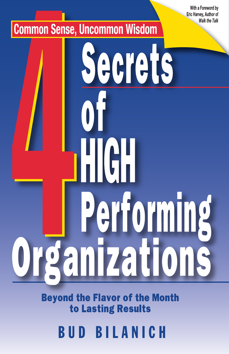With a Foreword by Eric Harvey, Author of **Walk the Talk Common Sense, Uncommon Wisdom** Secrets HIGH Performing Organizations

> **Beyond the Flavor of the Month** to Lasting Results

# **BUD BILANICH**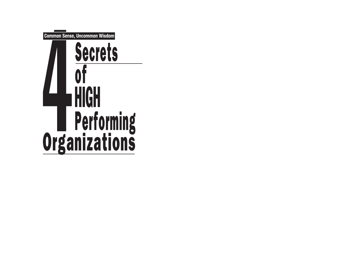# **Common Sense, Uncommon Wisdom Secrets HIGH Performing<br>Organizations**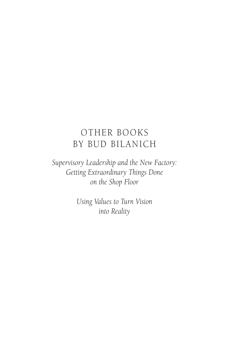# OTHER BOOKS BY BUD BILANICH

*Supervisory Leadership and the New Factory: Getting Extraordinary Things Done on the Shop Floor*

> *Using Values to Turn Vision into Reality*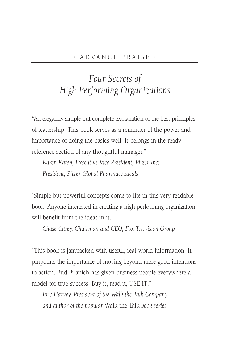# *Four Secrets of High Performing Organizations*

"An elegantly simple but complete explanation of the best principles of leadership. This book serves as a reminder of the power and importance of doing the basics well. It belongs in the ready reference section of any thoughtful manager."

*Karen Katen, Executive Vice President, Pfizer Inc; President, Pfizer Global Pharmaceuticals*

"Simple but powerful concepts come to life in this very readable book. Anyone interested in creating a high performing organization will benefit from the ideas in it."

*Chase Carey, Chairman and CEO, Fox Television Group*

"This book is jampacked with useful, real-world information. It pinpoints the importance of moving beyond mere good intentions to action. Bud Bilanich has given business people everywhere a model for true success. Buy it, read it, USE IT!"

*Eric Harvey, President of the Walk the Talk Company and author of the popular* Walk the Talk *book series*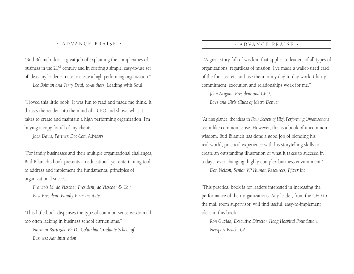"Bud Bilanich does a great job of explaining the complexities of business in the 21<sup>st</sup> century and in offering a simple, easy-to-use set of ideas any leader can use to create a high performing organization."

*Lee Bolman and Terry Deal, co-authors,* Leading with Soul

"I loved this little book. It was fun to read and made me think. It thrusts the reader into the mind of a CEO and shows what it takes to create and maintain a high performing organization. I'm buying a copy for all of my clients."

*Jack Davis, Partner, Dot Com Advisors*

"For family businesses and their multiple organizational challenges, Bud Bilanich's book presents an educational yet entertaining tool to address and implement the fundamental principles of organizational success."

*Francois M. de Visscher, President, de Visscher & Co.; Past President, Family Firm Institute*

"This little book dispenses the type of common-sense wisdom all too often lacking in business school curriculums."

*Norman Bartczak, Ph.D., Columbia Graduate School of Business Administration*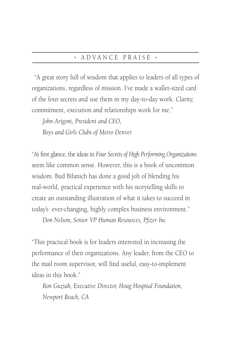"A great story full of wisdom that applies to leaders of all types of organizations, regardless of mission. I've made a wallet-sized card of the four secrets and use them in my day-to-day work. Clarity, commitment, execution and relationships work for me."

*John Arigoni, President and CEO,* 

*Boys and Girls Clubs of Metro Denver*

"At first glance, the ideas in *Four Secrets of High Performing Organizations* seem like common sense. However, this is a book of uncommon wisdom. Bud Bilanich has done a good job of blending his real-world, practical experience with his storytelling skills to create an outstanding illustration of what it takes to succeed in today's ever-changing, highly complex business environment."

*Don Nelson, Senior VP Human Resources, Pfizer Inc*

"This practical book is for leaders interested in increasing the performance of their organizations. Any leader, from the CEO to the mail room supervisor, will find useful, easy-to-implement ideas in this book."

*Ron Guziak, Executive Director, Hoag Hospital Foundation, Newport Beach, CA*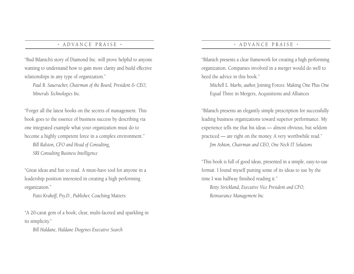"Bud Bilanich's story of Diamond Inc. will prove helpful to anyone wanting to understand how to gain more clarity and build effective relationships in any type of organization."

*Paul R. Saueracker, Chairman of the Board, President & CEO, Minerals Technologies Inc.*

"Forget all the latest books on the secrets of management. This book goes to the essence of business success by describing via one integrated example what your organization must do to become a highly competent force in a complex environment."

*Bill Ralston, CFO and Head of Consulting,* 

*SRI Consulting Business Intelligence*

"Great ideas and fun to read. A must-have tool for anyone in a leadership position interested in creating a high performing organization."

*Patsi Krakoff, Psy.D., Publisher,* Coaching Matters

"A 20-carat gem of a book; clear, multi-faceted and sparkling in its simplicity."

*Bill Haldane, Haldane Diogenes Executive Search*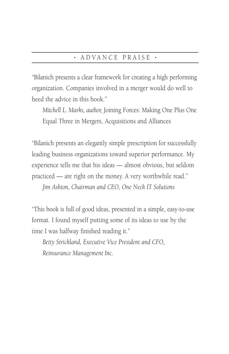"Bilanich presents a clear framework for creating a high performing organization. Companies involved in a merger would do well to heed the advice in this book."

*Mitchell L. Marks, author,* Joining Forces: Making One Plus One Equal Three in Mergers, Acquisitions and Alliances

"Bilanich presents an elegantly simple prescription for successfully leading business organizations toward superior performance. My experience tells me that his ideas — almost obvious, but seldom practiced — are right on the money. A very worthwhile read."

*Jim Ashton, Chairman and CEO, One Neck IT Solutions*

"This book is full of good ideas, presented in a simple, easy-to-use format. I found myself putting some of its ideas to use by the time I was halfway finished reading it."

*Betty Strickland, Executive Vice President and CFO, Reinsurance Management Inc.*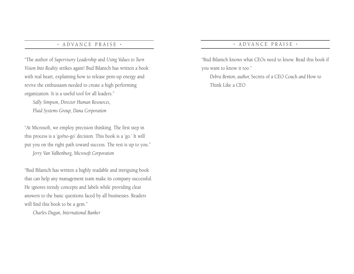"The author of *Supervisory Leadership* and *Using Values to Turn Vision Into Reality* strikes again! Bud Bilanich has written a book with real heart, explaining how to release pent-up energy and revive the enthusiasm needed to create a high performing organization. It is a useful tool for all leaders."

*Sally Simpson, Director Human Resources, Fluid Systems Group, Dana Corporation*

"At Microsoft, we employ precision thinking. The first step in this process is a 'go/no-go' decision. This book is a 'go.' It will put you on the right path toward success. The rest is up to you."

*Jerry Van Valkenburg, Microsoft Corporation*

"Bud Bilanich has written a highly readable and intriguing book that can help any management team make its company successful. He ignores trendy concepts and labels while providing clear answers to the basic questions faced by all businesses. Readers will find this book to be a gem."

*Charles Dugan, International Banker*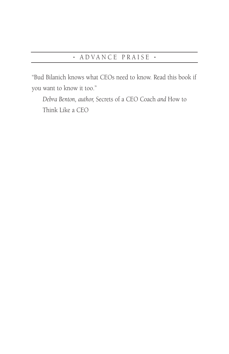"Bud Bilanich knows what CEOs need to know. Read this book if you want to know it too."

*Debra Benton, author,* Secrets of a CEO Coach *and* How to Think Like a CEO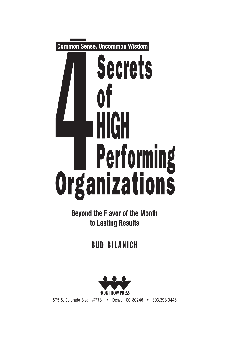

**Beyond the Flavor of the Month to Lasting Results**

BUD BILANICH

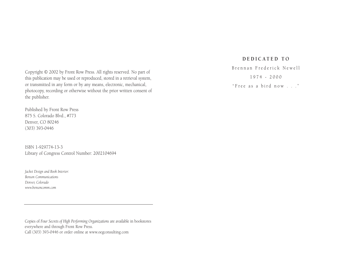Copyright © 2002 by Front Row Press. All rights reserved. No part of this publication may be used or reproduced, stored in a retrieval system, or transmitted in any form or by any means, electronic, mechanical, photocopy, recording or otherwise without the prior written consent of the publisher.

Published by Front Row Press 875 S. Colorado Blvd., #773 Denver, CO 80246 (303) 393-0446

ISBN 1-929774-13-3 Library of Congress Control Number: 2002104694

*Jacket Design and Book Interior: Benson Communications Denver, Colorado www.bensoncomm.com*

Copies of *Four Secrets of High Performing Organizations* are available in bookstores everywhere and through Front Row Press. Call (303) 393-0446 or order online at www.oegconsulting.com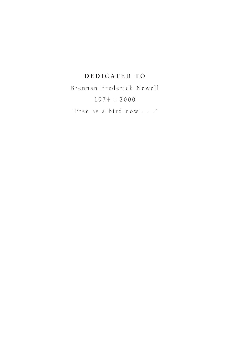# **DEDICATED TO**

Brennan Frederick Newell

### 1974 - 2000

"Free as a bird now . . ."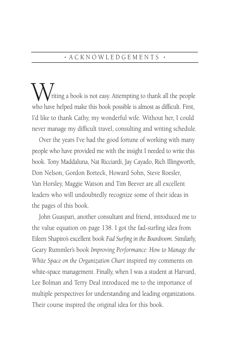# • ACKNOWLEDGEMENTS •

riting a book is not easy. Attempting to thank all the people Writing a book is not easy. Attempting to thank all the people who have helped make this book possible is almost as difficult. First, I'd like to thank Cathy, my wonderful wife. Without her, I could never manage my difficult travel, consulting and writing schedule.

Over the years I've had the good fortune of working with many people who have provided me with the insight I needed to write this book. Tony Maddaluna, Nat Ricciardi, Jay Cayado, Rich Illingworth, Don Nelson, Gordon Borteck, Howard Sohn, Steve Roesler, Van Horsley, Maggie Watson and Tim Beever are all excellent leaders who will undoubtedly recognize some of their ideas in the pages of this book.

John Guaspari, another consultant and friend, introduced me to the value equation on page 138. I got the fad-surfing idea from Eileen Shapiro's excellent book *Fad Surfing in the Boardroom.* Similarly, Geary Rummler's book *Improving Performance: How to Manage the White Space on the Organization Chart* inspired my comments on white-space management. Finally, when I was a student at Harvard, Lee Bolman and Terry Deal introduced me to the importance of multiple perspectives for understanding and leading organizations. Their course inspired the original idea for this book.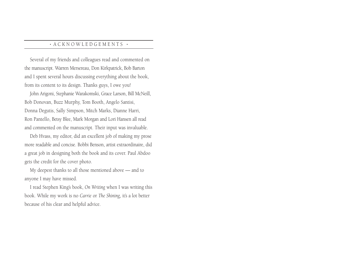# • ACKNOWLEDGEMENTS •

Several of my friends and colleagues read and commented on the manuscript. Warren Mersereau, Don Kirkpatrick, Bob Barton and I spent several hours discussing everything about the book, from its content to its design. Thanks guys, I owe you!

John Arigoni, Stephanie Warakomski, Grace Larson, Bill McNeill, Bob Donovan, Buzz Murphy, Tom Booth, Angelo Santisi, Donna Degutis, Sally Simpson, Mitch Marks, Dianne Harri, Ron Pantello, Betsy Blee, Mark Morgan and Lori Hansen all read and commented on the manuscript. Their input was invaluable.

Deb Hvass, my editor, did an excellent job of making my prose more readable and concise. Bobbi Benson, artist extraordinaire, did a great job in designing both the book and its cover. Paul Abdoo gets the credit for the cover photo.

My deepest thanks to all those mentioned above — and to anyone I may have missed.

I read Stephen King's book, *On Writing* when I was writing this book. While my work is no *Carrie* or *The Shining,* it's a lot better because of his clear and helpful advice.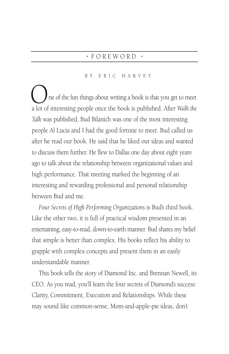#### $\cdot$  FOREWORD  $\cdot$

#### BY ERIC HARVEY

ne of the fun things about writing a book is that you get to meet **a** lot of the fun things about writing a book is that you get to meet a lot of interesting people once the book is published. After *Walk the Talk* was published, Bud Bilanich was one of the most interesting people Al Lucia and I had the good fortune to meet. Bud called us after he read our book. He said that he liked our ideas and wanted to discuss them further. He flew to Dallas one day about eight years ago to talk about the relationship between organizational values and high performance. That meeting marked the beginning of an interesting and rewarding professional and personal relationship between Bud and me.

*Four Secrets of High Performing Organizations* is Bud's third book. Like the other two, it is full of practical wisdom presented in an entertaining, easy-to-read, down-to-earth manner. Bud shares my belief that simple is better than complex. His books reflect his ability to grapple with complex concepts and present them in an easily understandable manner.

This book tells the story of Diamond Inc. and Brennan Newell, its CEO. As you read, you'll learn the four secrets of Diamond's success: Clarity, Commitment, Execution and Relationships. While these may sound like common-sense, Mom-and-apple-pie ideas, don't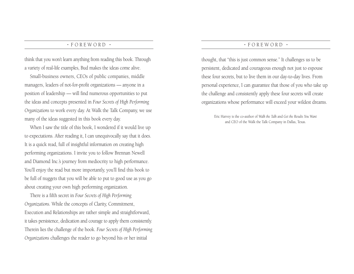think that you won't learn anything from reading this book. Through a variety of real-life examples, Bud makes the ideas come alive.

Small-business owners, CEOs of public companies, middle managers, leaders of not-for-profit organizations — anyone in a position of leadership — will find numerous opportunities to put the ideas and concepts presented in *Four Secrets of High Performing Organizations* to work every day. At Walk the Talk Company, we use many of the ideas suggested in this book every day.

When I saw the title of this book, I wondered if it would live up to expectations. After reading it, I can unequivocally say that it does. It is a quick read, full of insightful information on creating high performing organizations. I invite you to follow Brennan Newell and Diamond Inc.'s journey from mediocrity to high performance. You'll enjoy the read but more importantly, you'll find this book to be full of nuggets that you will be able to put to good use as you go about creating your own high performing organization.

There is a fifth secret in *Four Secrets of High Performing Organizations.* While the concepts of Clarity, Commitment, Execution and Relationships are rather simple and straightforward, it takes persistence, dedication and courage to apply them consistently. Therein lies the challenge of the book. *Four Secrets of High Performing Organizations* challenges the reader to go beyond his or her initial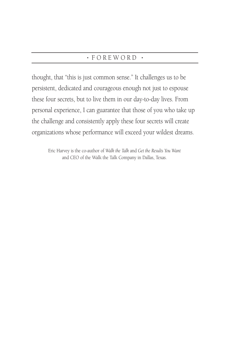thought, that "this is just common sense." It challenges us to be persistent, dedicated and courageous enough not just to espouse these four secrets, but to live them in our day-to-day lives. From personal experience, I can guarantee that those of you who take up the challenge and consistently apply these four secrets will create organizations whose performance will exceed your wildest dreams.

Eric Harvey is the co-author of *Walk the Talk* and *Get the Results You Want* and CEO of the Walk the Talk Company in Dallas, Texas.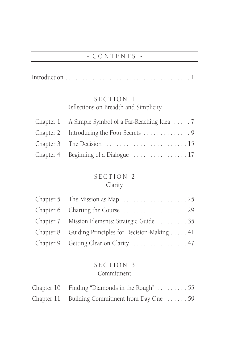# • CONTENTS •

|--|--|

# SECTION 1 Reflections on Breadth and Simplicity

| Chapter 1 A Simple Symbol of a Far-Reaching Idea 7 |
|----------------------------------------------------|
| Chapter 2 Introducing the Four Secrets 9           |
|                                                    |
| Chapter 4 Beginning of a Dialogue  17              |

# SECTION 2 Clarity

| Chapter 7 Mission Elements: Strategic Guide 35      |
|-----------------------------------------------------|
| Chapter 8 Guiding Principles for Decision-Making 41 |
| Chapter 9 Getting Clear on Clarity  47              |

# SECTION 3 Commitment

| Chapter 10 Finding "Diamonds in the Rough" 55  |  |
|------------------------------------------------|--|
| Chapter 11 Building Commitment from Day One 59 |  |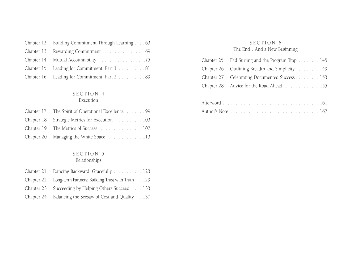| Chapter 12 Building Commitment Through Learning 63 |
|----------------------------------------------------|
|                                                    |
|                                                    |
| Chapter 15 Leading for Commitment, Part 1 81       |
| Chapter 16 Leading for Commitment, Part 2 89       |

# SECTION 4 Execution

| Chapter 17 The Spirit of Operational Excellence  99 |
|-----------------------------------------------------|
| Chapter 18 Strategic Metrics for Execution 103      |
| Chapter 19 The Metrics of Success 107               |
| Chapter 20 Managing the White Space  113            |

# SECTION 5 Relationships

| Chapter 21 Dancing Backward, Gracefully 123                    |
|----------------------------------------------------------------|
| Chapter 22 Long-term Partners: Building Trust with Truth . 129 |
| Chapter 23 Succeeding by Helping Others Succeed  133           |
| Chapter 24 Balancing the Seesaw of Cost and Quality 137        |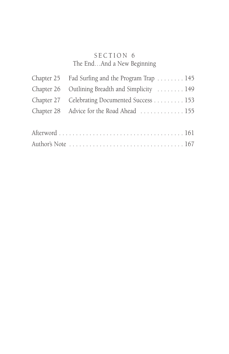# SECTION 6 The End…And a New Beginning

| Chapter 25 Fad Surfing and the Program Trap 145  |
|--------------------------------------------------|
| Chapter 26 Outlining Breadth and Simplicity  149 |
| Chapter 27 Celebrating Documented Success 153    |
| Chapter 28 Advice for the Road Ahead 155         |
|                                                  |
|                                                  |
|                                                  |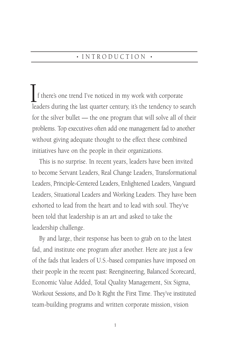### • INTRODUCTION •

f there's one trend I've noticed in my work with corporate leaders during the last quarter century, it's the tendency to search for the silver bullet — the one program that will solve all of their problems. Top executives often add one management fad to another without giving adequate thought to the effect these combined initiatives have on the people in their organizations.  $\prod_{\text{lex}}$ 

This is no surprise. In recent years, leaders have been invited to become Servant Leaders, Real Change Leaders, Transformational Leaders, Principle-Centered Leaders, Enlightened Leaders, Vanguard Leaders, Situational Leaders and Working Leaders. They have been exhorted to lead from the heart and to lead with soul. They've been told that leadership is an art and asked to take the leadership challenge.

By and large, their response has been to grab on to the latest fad, and institute one program after another. Here are just a few of the fads that leaders of U.S.-based companies have imposed on their people in the recent past: Reengineering, Balanced Scorecard, Economic Value Added, Total Quality Management, Six Sigma, Workout Sessions, and Do It Right the First Time. They've instituted team-building programs and written corporate mission, vision

1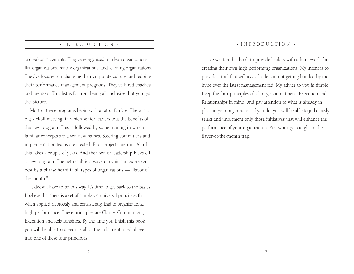and values statements. They've reorganized into lean organizations, flat organizations, matrix organizations, and learning organizations. They've focused on changing their corporate culture and redoing their performance management programs. They've hired coaches and mentors. This list is far from being all-inclusive, but you get the picture.

Most of these programs begin with a lot of fanfare. There is a big kickoff meeting, in which senior leaders tout the benefits of the new program. This is followed by some training in which familiar concepts are given new names. Steering committees and implementation teams are created. Pilot projects are run. All of this takes a couple of years. And then senior leadership kicks off a new program. The net result is a wave of cynicism, expressed best by a phrase heard in all types of organizations — "flavor of the month<sup>"</sup>

It doesn't have to be this way. It's time to get back to the basics. I believe that there is a set of simple yet universal principles that, when applied rigorously and consistently, lead to organizational high performance. These principles are Clarity, Commitment, Execution and Relationships. By the time you finish this book, you will be able to categorize all of the fads mentioned above into one of these four principles.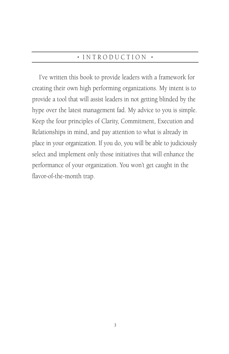#### • INTRODUCTION •

I've written this book to provide leaders with a framework for creating their own high performing organizations. My intent is to provide a tool that will assist leaders in not getting blinded by the hype over the latest management fad. My advice to you is simple. Keep the four principles of Clarity, Commitment, Execution and Relationships in mind, and pay attention to what is already in place in your organization. If you do, you will be able to judiciously select and implement only those initiatives that will enhance the performance of your organization. You won't get caught in the flavor-of-the-month trap.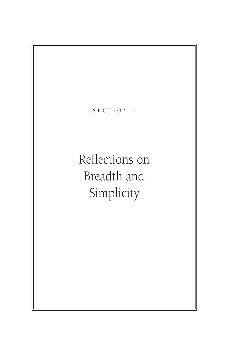# SECTION 1

Reflections on Breadth and Simplicity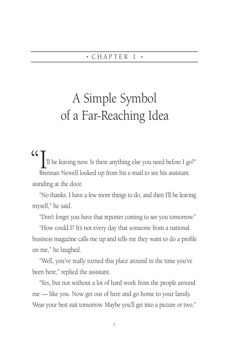# A Simple Symbol of a Far-Reaching Idea

'll be leaving now. Is there anything else you need before I go?" Brennan Newell looked up from his e-mail to see his assistant standing at the door.  $\bigcup_{\text{Bre}}$ 

"No thanks. I have a few more things to do, and then I'll be leaving myself," he said.

"Don't forget you have that reporter coming to see you tomorrow."

"How could I? It's not every day that someone from a national business magazine calls me up and tells me they want to do a profile on me," he laughed.

"Well, you've really turned this place around in the time you've been here," replied the assistant.

"Yes, but not without a lot of hard work from the people around me — like you. Now get out of here and go home to your family. Wear your best suit tomorrow. Maybe you'll get into a picture or two."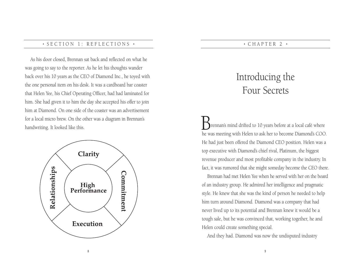## • SECTION 1: REFLECTIONS •

As his door closed, Brennan sat back and reflected on what he was going to say to the reporter. As he let his thoughts wander back over his 10 years as the CEO of Diamond Inc., he toyed with the one personal item on his desk. It was a cardboard bar coaster that Helen Yee, his Chief Operating Officer, had had laminated for him. She had given it to him the day she accepted his offer to join him at Diamond. On one side of the coaster was an advertisement for a local micro brew. On the other was a diagram in Brennan's handwriting. It looked like this.

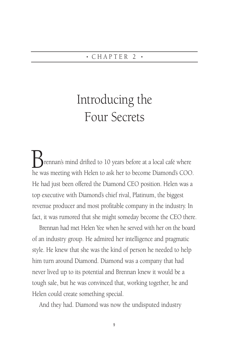# Introducing the Four Secrets

rennan's mind drifted to 10 years before at a local café where B rennan's mind drifted to 10 years before at a local café where<br>he was meeting with Helen to ask her to become Diamond's COO. He had just been offered the Diamond CEO position. Helen was a top executive with Diamond's chief rival, Platinum, the biggest revenue producer and most profitable company in the industry. In fact, it was rumored that she might someday become the CEO there.

Brennan had met Helen Yee when he served with her on the board of an industry group. He admired her intelligence and pragmatic style. He knew that she was the kind of person he needed to help him turn around Diamond. Diamond was a company that had never lived up to its potential and Brennan knew it would be a tough sale, but he was convinced that, working together, he and Helen could create something special.

And they had. Diamond was now the undisputed industry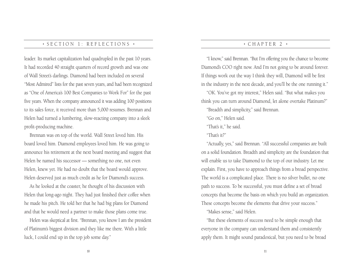# • SECTION 1: REFLECTIONS •

leader. Its market capitalization had quadrupled in the past 10 years. It had recorded 40 straight quarters of record growth and was one of Wall Street's darlings. Diamond had been included on several "Most Admired" lists for the past seven years, and had been recognized as "One of America's 100 Best Companies to Work For" for the past five years. When the company announced it was adding 100 positions to its sales force, it received more than 5,000 resumes. Brennan and Helen had turned a lumbering, slow-reacting company into a sleek profit-producing machine.

Brennan was on top of the world. Wall Street loved him. His board loved him. Diamond employees loved him. He was going to announce his retirement at the next board meeting and suggest that Helen be named his successor — something no one, not even Helen, knew yet. He had no doubt that the board would approve. Helen deserved just as much credit as he for Diamond's success.

As he looked at the coaster, he thought of his discussion with Helen that long-ago night. They had just finished their coffee when he made his pitch. He told her that he had big plans for Diamond and that he would need a partner to make those plans come true.

Helen was skeptical at first. "Brennan, you know I am the president of Platinum's biggest division and they like me there. With a little luck, I could end up in the top job some day."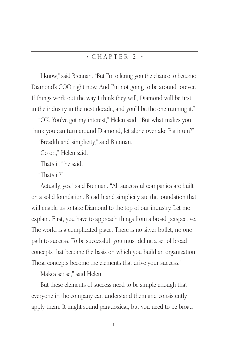"I know," said Brennan. "But I'm offering you the chance to become Diamond's COO right now. And I'm not going to be around forever. If things work out the way I think they will, Diamond will be first in the industry in the next decade, and you'll be the one running it."

"OK. You've got my interest," Helen said. "But what makes you think you can turn around Diamond, let alone overtake Platinum?"

"Breadth and simplicity," said Brennan.

"Go on," Helen said.

"That's it," he said.

"That's it?"

"Actually, yes," said Brennan. "All successful companies are built on a solid foundation. Breadth and simplicity are the foundation that will enable us to take Diamond to the top of our industry. Let me explain. First, you have to approach things from a broad perspective. The world is a complicated place. There is no silver bullet, no one path to success. To be successful, you must define a set of broad concepts that become the basis on which you build an organization. These concepts become the elements that drive your success."

"Makes sense," said Helen.

"But these elements of success need to be simple enough that everyone in the company can understand them and consistently apply them. It might sound paradoxical, but you need to be broad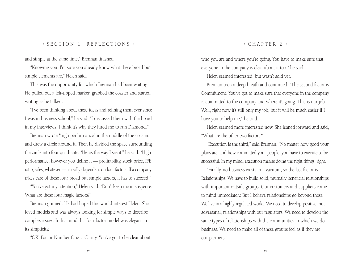# • SECTION 1: REFLECTIONS •

and simple at the same time," Brennan finished.

"Knowing you, I'm sure you already know what these broad but simple elements are," Helen said.

This was the opportunity for which Brennan had been waiting. He pulled out a felt-tipped marker, grabbed the coaster and started writing as he talked.

"I've been thinking about these ideas and refining them ever since I was in business school," he said. "I discussed them with the board in my interviews. I think it's why they hired me to run Diamond."

Brennan wrote "high performance" in the middle of the coaster, and drew a circle around it. Then he divided the space surrounding the circle into four quadrants. "Here's the way I see it," he said. "High performance, however you define it — profitability, stock price, P/E ratio, sales, whatever — is really dependent on four factors. If a company takes care of these four broad but simple factors, it has to succeed."

"You've got my attention," Helen said. "Don't keep me in suspense. What are these four magic factors?"

Brennan grinned. He had hoped this would interest Helen. She loved models and was always looking for simple ways to describe complex issues. In his mind, his four-factor model was elegant in its simplicity.

"OK. Factor Number One is Clarity. You've got to be clear about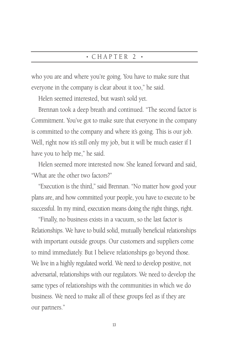who you are and where you're going. You have to make sure that everyone in the company is clear about it too," he said.

Helen seemed interested, but wasn't sold yet.

Brennan took a deep breath and continued. "The second factor is Commitment. You've got to make sure that everyone in the company is committed to the company and where it's going. This is our job. Well, right now it's still only my job, but it will be much easier if I have you to help me," he said.

Helen seemed more interested now. She leaned forward and said, "What are the other two factors?"

"Execution is the third," said Brennan. "No matter how good your plans are, and how committed your people, you have to execute to be successful. In my mind, execution means doing the right things, right.

"Finally, no business exists in a vacuum, so the last factor is Relationships. We have to build solid, mutually beneficial relationships with important outside groups. Our customers and suppliers come to mind immediately. But I believe relationships go beyond those. We live in a highly regulated world. We need to develop positive, not adversarial, relationships with our regulators. We need to develop the same types of relationships with the communities in which we do business. We need to make all of these groups feel as if they are our partners."

13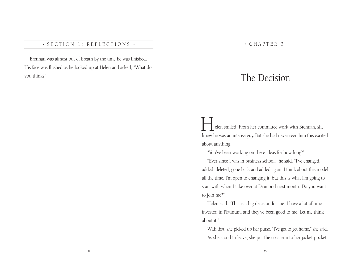# • SECTION 1: REFLECTIONS •

Brennan was almost out of breath by the time he was finished. His face was flushed as he looked up at Helen and asked, "What do you think?"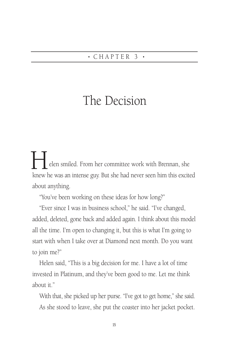# The Decision

elen smiled. From her committee work with Brennan, she knew he was an intense guy. But she had never seen him this excited about anything.  $\prod_{\text{long the}}$ 

"You've been working on these ideas for how long?"

"Ever since I was in business school," he said. "I've changed, added, deleted, gone back and added again. I think about this model all the time. I'm open to changing it, but this is what I'm going to start with when I take over at Diamond next month. Do you want to join me?"

Helen said, "This is a big decision for me. I have a lot of time invested in Platinum, and they've been good to me. Let me think about it."

With that, she picked up her purse. "I've got to get home," she said. As she stood to leave, she put the coaster into her jacket pocket.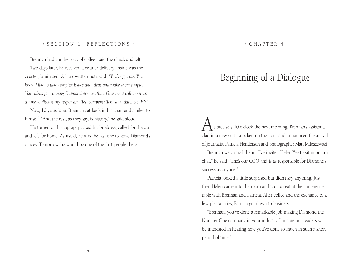## • SECTION 1: REFLECTIONS •

Brennan had another cup of coffee, paid the check and left.

Two days later, he received a courier delivery. Inside was the coaster, laminated. A handwritten note said, *"You've got me. You know I like to take complex issues and ideas and make them simple. Your ideas for running Diamond are just that. Give me a call to set up a time to discuss my responsibilities, compensation, start date, etc. HY"*

Now, 10 years later, Brennan sat back in his chair and smiled to himself. "And the rest, as they say, is history," he said aloud.

He turned off his laptop, packed his briefcase, called for the car and left for home. As usual, he was the last one to leave Diamond's offices. Tomorrow, he would be one of the first people there.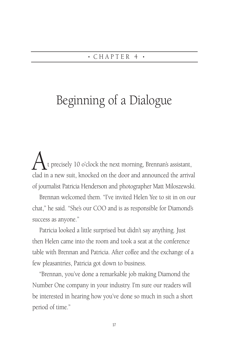# Beginning of a Dialogue

t precisely 10 o'clock the next morning, Brennan's assistant, At precisely 10 o'clock the next morning, Brennan's assistant,<br>clad in a new suit, knocked on the door and announced the arrival of journalist Patricia Henderson and photographer Matt Miloszewski.

Brennan welcomed them. "I've invited Helen Yee to sit in on our chat," he said. "She's our COO and is as responsible for Diamond's success as anyone."

Patricia looked a little surprised but didn't say anything. Just then Helen came into the room and took a seat at the conference table with Brennan and Patricia. After coffee and the exchange of a few pleasantries, Patricia got down to business.

"Brennan, you've done a remarkable job making Diamond the Number One company in your industry. I'm sure our readers will be interested in hearing how you've done so much in such a short period of time."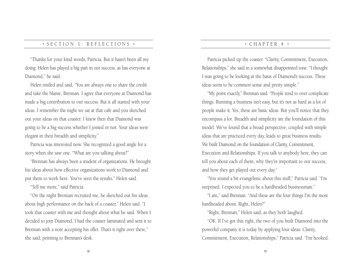#### • SECTION 1: REFLECTIONS •

"Thanks for your kind words, Patricia. But it hasn't been all my doing. Helen has played a big part in our success, as has everyone at Diamond," he said.

Helen smiled and said, "You are always one to share the credit and take the blame, Brennan. I agree that everyone at Diamond has made a big contribution to our success. But it all started with your ideas. I remember the night we sat at that café and you sketched out your ideas on that coaster. I knew then that Diamond was going to be a big success whether I joined or not. Your ideas were elegant in their breadth and simplicity."

Patricia was interested now. She recognized a good angle for a story when she saw one. "What are you talking about?"

"Brennan has always been a student of organizations. He brought his ideas about how effective organizations work to Diamond and put them to work here. You've seen the results," Helen said.

"Tell me more," said Patricia.

"On the night Brennan recruited me, he sketched out his ideas about high performance on the back of a coaster," Helen said. "I took that coaster with me and thought about what he said. When I decided to join Diamond, I had the coaster laminated and sent it to Brennan with a note accepting his offer. That's it right over there," she said, pointing to Brennan's desk.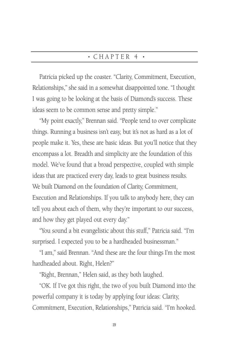Patricia picked up the coaster. "Clarity, Commitment, Execution, Relationships," she said in a somewhat disappointed tone. "I thought I was going to be looking at the basis of Diamond's success. These ideas seem to be common sense and pretty simple."

"My point exactly," Brennan said. "People tend to over complicate things. Running a business isn't easy, but it's not as hard as a lot of people make it. Yes, these are basic ideas. But you'll notice that they encompass a lot. Breadth and simplicity are the foundation of this model. We've found that a broad perspective, coupled with simple ideas that are practiced every day, leads to great business results. We built Diamond on the foundation of Clarity, Commitment, Execution and Relationships. If you talk to anybody here, they can tell you about each of them, why they're important to our success, and how they get played out every day."

"You sound a bit evangelistic about this stuff," Patricia said. "I'm surprised. I expected you to be a hardheaded businessman."

"I am," said Brennan. "And these are the four things I'm the most hardheaded about. Right, Helen?"

"Right, Brennan," Helen said, as they both laughed.

"OK. If I've got this right, the two of you built Diamond into the powerful company it is today by applying four ideas: Clarity, Commitment, Execution, Relationships," Patricia said. "I'm hooked.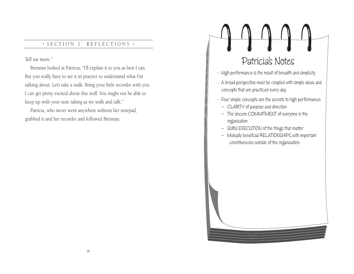#### • SECTION 1: REFLECTIONS •

Tell me more."

Brennan looked at Patricia, "I'll explain it to you as best I can. But you really have to see it in practice to understand what I'm talking about. Let's take a walk. Bring your little recorder with you. I can get pretty excited about this stuff. You might not be able to keep up with your note taking as we walk and talk."

Patricia, who never went anywhere without her notepad, grabbed it and her recorder and followed Brennan.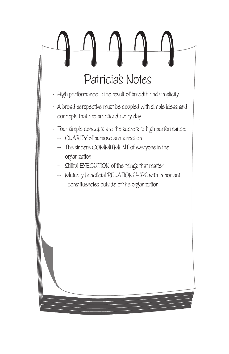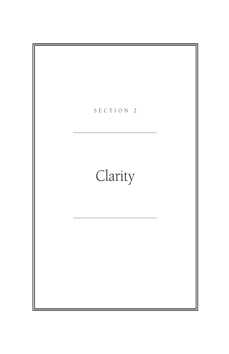| SECTION 2 |  |
|-----------|--|
| Clarity   |  |
|           |  |
|           |  |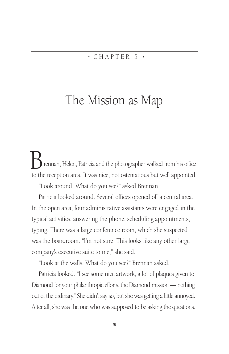### The Mission as Map

rennan, Helen, Patricia and the photographer walked from his office B rennan, Helen, Patricia and the photographer walked from his office to the reception area. It was nice, not ostentatious but well appointed.

"Look around. What do you see?" asked Brennan.

Patricia looked around. Several offices opened off a central area. In the open area, four administrative assistants were engaged in the typical activities: answering the phone, scheduling appointments, typing. There was a large conference room, which she suspected was the boardroom. "I'm not sure. This looks like any other large company's executive suite to me," she said.

"Look at the walls. What do you see?" Brennan asked.

Patricia looked. "I see some nice artwork, a lot of plaques given to Diamond for your philanthropic efforts, the Diamond mission — nothing out of the ordinary." She didn't say so, but she was getting a little annoyed. After all, she was the one who was supposed to be asking the questions.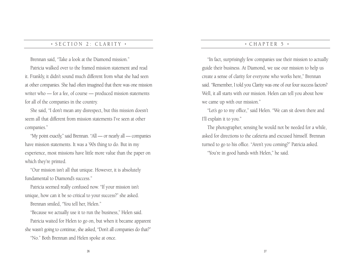Brennan said, "Take a look at the Diamond mission."

Patricia walked over to the framed mission statement and read it. Frankly, it didn't sound much different from what she had seen at other companies. She had often imagined that there was one mission writer who — for a fee, of course — produced mission statements for all of the companies in the country.

She said, "I don't mean any disrespect, but this mission doesn't seem all that different from mission statements I've seen at other companies."

"My point exactly," said Brennan. "All — or nearly all — companies have mission statements. It was a '90s thing to do. But in my experience, most missions have little more value than the paper on which they're printed.

"Our mission isn't all that unique. However, it is absolutely fundamental to Diamond's success."

Patricia seemed really confused now. "If your mission isn't unique, how can it be so critical to your success?" she asked.

Brennan smiled, "You tell her, Helen."

"Because we actually use it to run the business," Helen said.

Patricia waited for Helen to go on, but when it became apparent she wasn't going to continue, she asked, "Don't all companies do that?"

"No." Both Brennan and Helen spoke at once.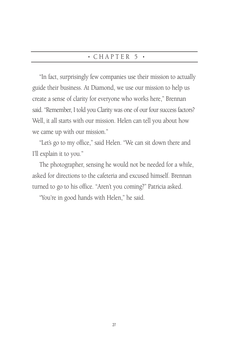#### • CHAPTER 5 •

"In fact, surprisingly few companies use their mission to actually guide their business. At Diamond, we use our mission to help us create a sense of clarity for everyone who works here," Brennan said. "Remember, I told you Clarity was one of our four success factors? Well, it all starts with our mission. Helen can tell you about how we came up with our mission."

"Let's go to my office," said Helen. "We can sit down there and I'll explain it to you."

The photographer, sensing he would not be needed for a while, asked for directions to the cafeteria and excused himself. Brennan turned to go to his office. "Aren't you coming?" Patricia asked.

"You're in good hands with Helen," he said.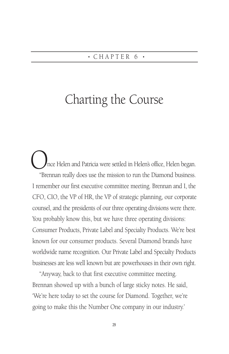### Charting the Course

nce Helen and Patricia were settled in Helen's office, Helen began. "Brennan really does use the mission to run the Diamond business. I remember our first executive committee meeting. Brennan and I, the CFO, CIO, the VP of HR, the VP of strategic planning, our corporate counsel, and the presidents of our three operating divisions were there. You probably know this, but we have three operating divisions: Consumer Products, Private Label and Specialty Products. We're best known for our consumer products. Several Diamond brands have worldwide name recognition. Our Private Label and Specialty Products businesses are less well known but are powerhouses in their own right.  $\bigcirc$ <sub> $C_{\text{Rram}}$ </sub>

"Anyway, back to that first executive committee meeting. Brennan showed up with a bunch of large sticky notes. He said, 'We're here today to set the course for Diamond. Together, we're going to make this the Number One company in our industry.'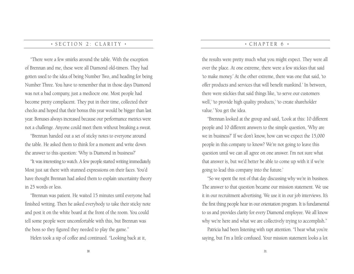"There were a few smirks around the table. With the exception of Brennan and me, these were all Diamond old-timers. They had gotten used to the idea of being Number Two, and heading for being Number Three. You have to remember that in those days Diamond was not a bad company, just a mediocre one. Most people had become pretty complacent. They put in their time, collected their checks and hoped that their bonus this year would be bigger than last year. Bonuses always increased because our performance metrics were not a challenge. Anyone could meet them without breaking a sweat.

"Brennan handed out a set of sticky notes to everyone around the table. He asked them to think for a moment and write down the answer to this question: 'Why is Diamond in business?'

"It was interesting to watch. A few people started writing immediately. Most just sat there with stunned expressions on their faces. You'd have thought Brennan had asked them to explain uncertainty theory in 25 words or less.

"Brennan was patient. He waited 15 minutes until everyone had finished writing. Then he asked everybody to take their sticky note and post it on the white board at the front of the room. You could tell some people were uncomfortable with this, but Brennan was the boss so they figured they needed to play the game."

Helen took a sip of coffee and continued. "Looking back at it,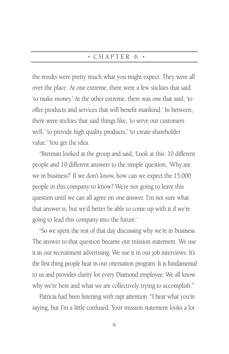the results were pretty much what you might expect. They were all over the place. At one extreme, there were a few stickies that said 'to make money.' At the other extreme, there was one that said, 'to offer products and services that will benefit mankind.' In between, there were stickies that said things like, 'to serve our customers well,' 'to provide high quality products,' 'to create shareholder value.' You get the idea.

"Brennan looked at the group and said, 'Look at this: 10 different people and 10 different answers to the simple question, 'Why are we in business?' If we don't know, how can we expect the 15,000 people in this company to know? We're not going to leave this question until we can all agree on one answer. I'm not sure what that answer is, but we'd better be able to come up with it if we're going to lead this company into the future.'

"So we spent the rest of that day discussing why we're in business. The answer to that question became our mission statement. We use it in our recruitment advertising. We use it in our job interviews. It's the first thing people hear in our orientation program. It is fundamental to us and provides clarity for every Diamond employee. We all know why we're here and what we are collectively trying to accomplish."

Patricia had been listening with rapt attention. "I hear what you're saying, but I'm a little confused. Your mission statement looks a lot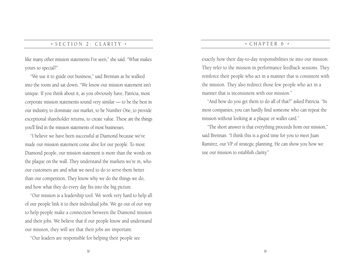like many other mission statements I've seen," she said. "What makes yours so special?"

"We use it to guide our business," said Brennan as he walked into the room and sat down. "We know our mission statement isn't unique. If you think about it, as you obviously have, Patricia, most corporate mission statements sound very similar — to be the best in our industry, to dominate our market, to be Number One, to provide exceptional shareholder returns, to create value. These are the things you'll find in the mission statements of most businesses.

"I believe we have been successful at Diamond because we've made our mission statement come alive for our people. To most Diamond people, our mission statement is more than the words on the plaque on the wall. They understand the markets we're in, who our customers are and what we need to do to serve them better than our competition. They know why we do the things we do, and how what they do every day fits into the big picture.

"Our mission is a leadership tool. We work very hard to help all of our people link it to their individual jobs. We go out of our way to help people make a connection between the Diamond mission and their jobs. We believe that if our people know and understand our mission, they will see that their jobs are important.

"Our leaders are responsible for helping their people see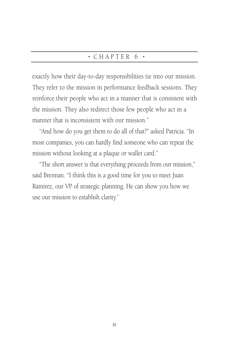exactly how their day-to-day responsibilities tie into our mission. They refer to the mission in performance feedback sessions. They reinforce their people who act in a manner that is consistent with the mission. They also redirect those few people who act in a manner that is inconsistent with our mission."

"And how do you get them to do all of that?" asked Patricia. "In most companies, you can hardly find someone who can repeat the mission without looking at a plaque or wallet card."

"The short answer is that everything proceeds from our mission," said Brennan. "I think this is a good time for you to meet Juan Ramirez, our VP of strategic planning. He can show you how we use our mission to establish clarity."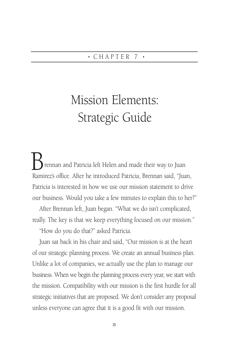# Mission Elements: Strategic Guide

rennan and Patricia left Helen and made their way to Juan B rennan and Patricia left Helen and made their way to Juan<br>Ramirez's office. After he introduced Patricia, Brennan said, "Juan, Patricia is interested in how we use our mission statement to drive our business. Would you take a few minutes to explain this to her?"

After Brennan left, Juan began. "What we do isn't complicated, really. The key is that we keep everything focused on our mission."

"How do you do that?" asked Patricia.

Juan sat back in his chair and said, "Our mission is at the heart of our strategic planning process. We create an annual business plan. Unlike a lot of companies, we actually use the plan to manage our business. When we begin the planning process every year, we start with the mission. Compatibility with our mission is the first hurdle for all strategic initiatives that are proposed. We don't consider any proposal unless everyone can agree that it is a good fit with our mission.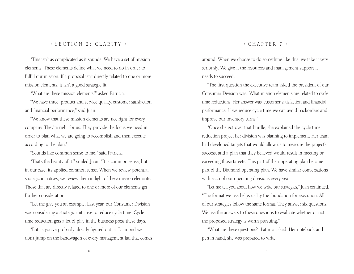"This isn't as complicated as it sounds. We have a set of mission elements. These elements define what we need to do in order to fulfill our mission. If a proposal isn't directly related to one or more mission elements, it isn't a good strategic fit.

"What are these mission elements?" asked Patricia.

"We have three: product and service quality, customer satisfaction and financial performance," said Juan.

"We know that these mission elements are not right for every company. They're right for us. They provide the focus we need in order to plan what we are going to accomplish and then execute according to the plan."

"Sounds like common sense to me," said Patricia.

"That's the beauty of it," smiled Juan. "It is common sense, but in our case, it's applied common sense. When we review potential strategic initiatives, we review them in light of these mission elements. Those that are directly related to one or more of our elements get further consideration.

"Let me give you an example. Last year, our Consumer Division was considering a strategic initiative to reduce cycle time. Cycle time reduction gets a lot of play in the business press these days.

"But as you've probably already figured out, at Diamond we don't jump on the bandwagon of every management fad that comes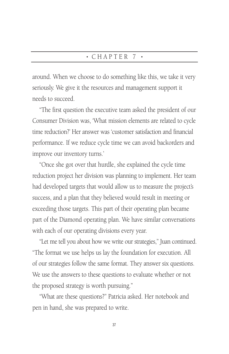around. When we choose to do something like this, we take it very seriously. We give it the resources and management support it needs to succeed.

"The first question the executive team asked the president of our Consumer Division was, 'What mission elements are related to cycle time reduction?' Her answer was 'customer satisfaction and financial performance. If we reduce cycle time we can avoid backorders and improve our inventory turns.'

"Once she got over that hurdle, she explained the cycle time reduction project her division was planning to implement. Her team had developed targets that would allow us to measure the project's success, and a plan that they believed would result in meeting or exceeding those targets. This part of their operating plan became part of the Diamond operating plan. We have similar conversations with each of our operating divisions every year.

"Let me tell you about how we write our strategies," Juan continued. "The format we use helps us lay the foundation for execution. All of our strategies follow the same format. They answer six questions. We use the answers to these questions to evaluate whether or not the proposed strategy is worth pursuing."

"What are these questions?" Patricia asked. Her notebook and pen in hand, she was prepared to write.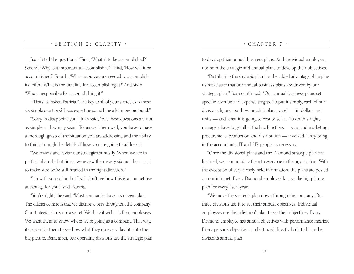Juan listed the questions. "First, 'What is to be accomplished?' Second, 'Why is it important to accomplish it?' Third, 'How will it be accomplished?' Fourth, 'What resources are needed to accomplish it?' Fifth, 'What is the timeline for accomplishing it?' And sixth, 'Who is responsible for accomplishing it?'

"That's it?" asked Patricia. "The key to all of your strategies is those six simple questions? I was expecting something a lot more profound."

"Sorry to disappoint you," Juan said, "but these questions are not as simple as they may seem. To answer them well, you have to have a thorough grasp of the situation you are addressing and the ability to think through the details of how you are going to address it.

"We review and revise our strategies annually. When we are in particularly turbulent times, we review them every six months — just to make sure we're still headed in the right direction."

"I'm with you so far, but I still don't see how this is a competitive advantage for you," said Patricia.

"You're right," he said. "Most companies have a strategic plan. The difference here is that we distribute ours throughout the company. Our strategic plan is not a secret. We share it with all of our employees. We want them to know where we're going as a company. That way, it's easier for them to see how what they do every day fits into the big picture. Remember, our operating divisions use the strategic plan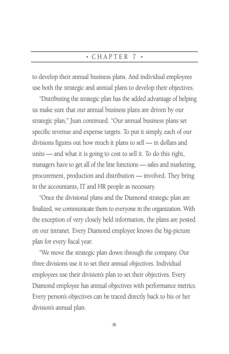to develop their annual business plans. And individual employees use both the strategic and annual plans to develop their objectives.

"Distributing the strategic plan has the added advantage of helping us make sure that our annual business plans are driven by our strategic plan," Juan continued. "Our annual business plans set specific revenue and expense targets. To put it simply, each of our divisions figures out how much it plans to sell — in dollars and units — and what it is going to cost to sell it. To do this right, managers have to get all of the line functions — sales and marketing, procurement, production and distribution — involved. They bring in the accountants, IT and HR people as necessary.

"Once the divisional plans and the Diamond strategic plan are finalized, we communicate them to everyone in the organization. With the exception of very closely held information, the plans are posted on our intranet. Every Diamond employee knows the big-picture plan for every fiscal year.

"We move the strategic plan down through the company. Our three divisions use it to set their annual objectives. Individual employees use their division's plan to set their objectives. Every Diamond employee has annual objectives with performance metrics. Every person's objectives can be traced directly back to his or her division's annual plan.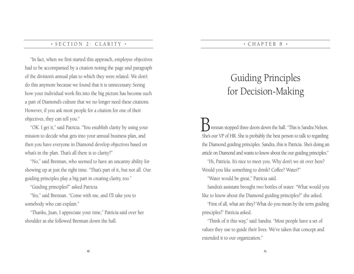"In fact, when we first started this approach, employee objectives had to be accompanied by a citation noting the page and paragraph of the division's annual plan to which they were related. We don't do this anymore because we found that it is unnecessary. Seeing how your individual work fits into the big picture has become such a part of Diamond's culture that we no longer need these citations. However, if you ask most people for a citation for one of their objectives, they can tell you."

"OK. I get it," said Patricia. "You establish clarity by using your mission to decide what gets into your annual business plan, and then you have everyone in Diamond develop objectives based on what's in the plan. That's all there is to clarity?"

"No," said Brennan, who seemed to have an uncanny ability for showing up at just the right time. "That's part of it, but not all. Our guiding principles play a big part in creating clarity, too."

"Guiding principles?" asked Patricia.

"Yes," said Brennan. "Come with me, and I'll take you to somebody who can explain."

"Thanks, Juan, I appreciate your time," Patricia said over her shoulder as she followed Brennan down the hall.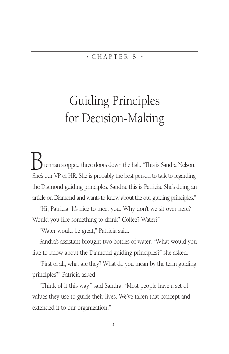## Guiding Principles for Decision-Making

rennan stopped three doors down the hall. "This is Sandra Nelson. B rennan stopped three doors down the hall. "This is Sandra Nelson.<br>She's our VP of HR. She is probably the best person to talk to regarding the Diamond guiding principles. Sandra, this is Patricia. She's doing an article on Diamond and wants to know about the our guiding principles."

"Hi, Patricia. It's nice to meet you. Why don't we sit over here? Would you like something to drink? Coffee? Water?"

"Water would be great," Patricia said.

Sandra's assistant brought two bottles of water. "What would you like to know about the Diamond guiding principles?" she asked.

"First of all, what are they? What do you mean by the term guiding principles?" Patricia asked.

"Think of it this way," said Sandra. "Most people have a set of values they use to guide their lives. We've taken that concept and extended it to our organization."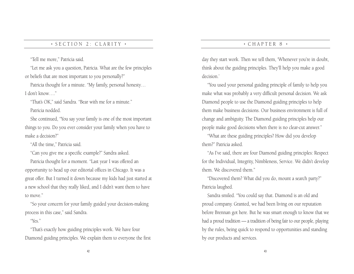"Tell me more," Patricia said.

"Let me ask you a question, Patricia. What are the few principles or beliefs that are most important to you personally?"

Patricia thought for a minute. "My family, personal honesty… I don't know…."

"That's OK," said Sandra. "Bear with me for a minute."

Patricia nodded.

She continued, "You say your family is one of the most important things to you. Do you ever consider your family when you have to make a decision?"

"All the time," Patricia said.

"Can you give me a specific example?" Sandra asked.

Patricia thought for a moment. "Last year I was offered an opportunity to head up our editorial offices in Chicago. It was a great offer. But I turned it down because my kids had just started at a new school that they really liked, and I didn't want them to have to move."

"So your concern for your family guided your decision-making process in this case," said Sandra.

"Yes."

"That's exactly how guiding principles work. We have four Diamond guiding principles. We explain them to everyone the first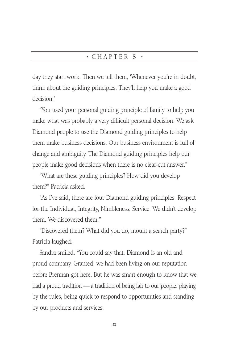day they start work. Then we tell them, 'Whenever you're in doubt, think about the guiding principles. They'll help you make a good decision.'

"You used your personal guiding principle of family to help you make what was probably a very difficult personal decision. We ask Diamond people to use the Diamond guiding principles to help them make business decisions. Our business environment is full of change and ambiguity. The Diamond guiding principles help our people make good decisions when there is no clear-cut answer."

"What are these guiding principles? How did you develop them?" Patricia asked.

"As I've said, there are four Diamond guiding principles: Respect for the Individual, Integrity, Nimbleness, Service. We didn't develop them. We discovered them."

"Discovered them? What did you do, mount a search party?" Patricia laughed.

Sandra smiled. "You could say that. Diamond is an old and proud company. Granted, we had been living on our reputation before Brennan got here. But he was smart enough to know that we had a proud tradition — a tradition of being fair to our people, playing by the rules, being quick to respond to opportunities and standing by our products and services.

43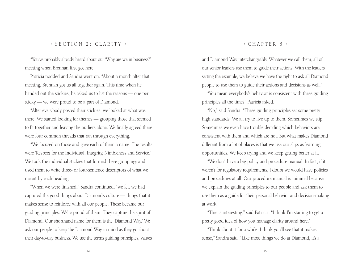"You've probably already heard about our 'Why are we in business?' meeting when Brennan first got here."

Patricia nodded and Sandra went on. "About a month after that meeting, Brennan got us all together again. This time when he handed out the stickies, he asked us to list the reasons — one per sticky — we were proud to be a part of Diamond.

"After everybody posted their stickies, we looked at what was there. We started looking for themes — grouping those that seemed to fit together and leaving the outliers alone. We finally agreed there were four common threads that ran through everything.

"We focused on those and gave each of them a name. The results were 'Respect for the Individual, Integrity, Nimbleness and Service.' We took the individual stickies that formed these groupings and used them to write three- or four-sentence descriptors of what we meant by each heading.

"When we were finished," Sandra continued, "we felt we had captured the good things about Diamond's culture — things that it makes sense to reinforce with all our people. These became our guiding principles. We're proud of them. They capture the spirit of Diamond. Our shorthand name for them is the 'Diamond Way.' We ask our people to keep the Diamond Way in mind as they go about their day-to-day business. We use the terms guiding principles, values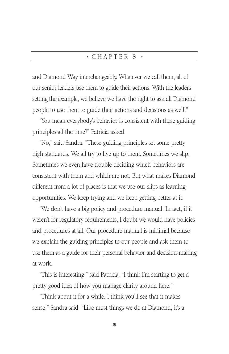and Diamond Way interchangeably. Whatever we call them, all of our senior leaders use them to guide their actions. With the leaders setting the example, we believe we have the right to ask all Diamond people to use them to guide their actions and decisions as well."

"You mean everybody's behavior is consistent with these guiding principles all the time?" Patricia asked.

"No," said Sandra. "These guiding principles set some pretty high standards. We all try to live up to them. Sometimes we slip. Sometimes we even have trouble deciding which behaviors are consistent with them and which are not. But what makes Diamond different from a lot of places is that we use our slips as learning opportunities. We keep trying and we keep getting better at it.

"We don't have a big policy and procedure manual. In fact, if it weren't for regulatory requirements, I doubt we would have policies and procedures at all. Our procedure manual is minimal because we explain the guiding principles to our people and ask them to use them as a guide for their personal behavior and decision-making at work.

"This is interesting," said Patricia. "I think I'm starting to get a pretty good idea of how you manage clarity around here."

"Think about it for a while. I think you'll see that it makes sense," Sandra said. "Like most things we do at Diamond, it's a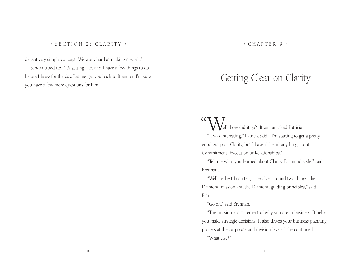deceptively simple concept. We work hard at making it work."

Sandra stood up. "It's getting late, and I have a few things to do before I leave for the day. Let me get you back to Brennan. I'm sure you have a few more questions for him."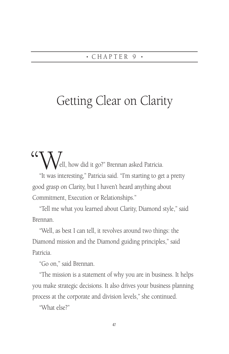## Getting Clear on Clarity

ell, how did it go?" Brennan asked Patricia. **44 V**ell, how did it go?" Brennan asked Patricia.<br>"It was interesting," Patricia said. "I'm starting to get a pretty good grasp on Clarity, but I haven't heard anything about Commitment, Execution or Relationships."

"Tell me what you learned about Clarity, Diamond style," said Brennan.

"Well, as best I can tell, it revolves around two things: the Diamond mission and the Diamond guiding principles," said Patricia.

"Go on," said Brennan.

"The mission is a statement of why you are in business. It helps you make strategic decisions. It also drives your business planning process at the corporate and division levels," she continued.

"What else?"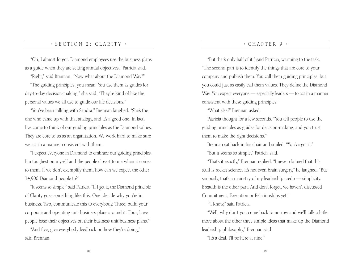"Oh, I almost forgot. Diamond employees use the business plans as a guide when they are setting annual objectives," Patricia said.

"Right," said Brennan. "Now what about the Diamond Way?"

"The guiding principles, you mean. You use them as guides for day-to-day decision-making," she said. "They're kind of like the personal values we all use to guide our life decisions."

"You've been talking with Sandra," Brennan laughed. "She's the one who came up with that analogy, and it's a good one. In fact, I've come to think of our guiding principles as the Diamond values. They are core to us as an organization. We work hard to make sure we act in a manner consistent with them.

"I expect everyone in Diamond to embrace our guiding principles. I'm toughest on myself and the people closest to me when it comes to them. If we don't exemplify them, how can we expect the other 14,900 Diamond people to?"

"It seems so simple," said Patricia. "If I get it, the Diamond principle of Clarity goes something like this. One, decide why you're in business. Two, communicate this to everybody. Three, build your corporate and operating unit business plans around it. Four, have people base their objectives on their business unit business plans."

"And five, give everybody feedback on how they're doing," said Brennan.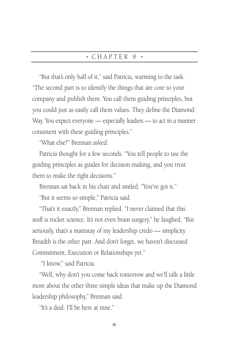"But that's only half of it," said Patricia, warming to the task. "The second part is to identify the things that are core to your company and publish them. You call them guiding principles, but you could just as easily call them values. They define the Diamond Way. You expect everyone — especially leaders — to act in a manner consistent with these guiding principles."

"What else?" Brennan asked.

Patricia thought for a few seconds. "You tell people to use the guiding principles as guides for decision-making, and you trust them to make the right decisions."

Brennan sat back in his chair and smiled. "You've got it."

"But it seems so simple," Patricia said.

"That's it exactly," Brennan replied. "I never claimed that this stuff is rocket science. It's not even brain surgery," he laughed. "But seriously, that's a mainstay of my leadership credo — simplicity. Breadth is the other part. And don't forget, we haven't discussed Commitment, Execution or Relationships yet."

"I know," said Patricia.

"Well, why don't you come back tomorrow and we'll talk a little more about the other three simple ideas that make up the Diamond leadership philosophy," Brennan said.

"It's a deal. I'll be here at nine."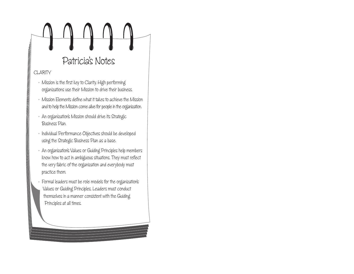## Patricia's Notes

#### CLARITY

- Mission is the first key to Clarity. High performing organizations use their Mission to drive their business.
- Mission Elements define what it takes to achieve the Mission and to help the Mission come alive for people in the organization.
- An organization's Mission should drive its Strategic Business Plan.
- Individual Performance Objectives should be developed using the Strategic Business Plan as a base.
- An organization's Values or Guiding Principles help members know how to act in ambiguous situations. They must reflect the very fabric of the organization and everybody must practice them.
- Formal leaders must be role models for the organization's Values or Guiding Principles. Leaders must conduct themselves in a manner consistent with the Guiding Principles at all times.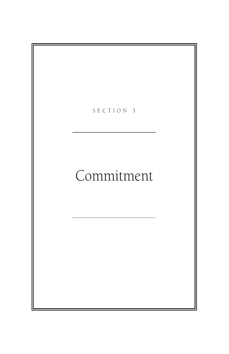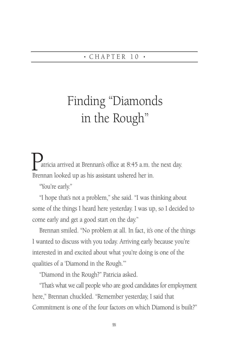# Finding "Diamonds in the Rough"

atricia arrived at Brennan's office at 8:45 a.m. the next day. **D**<br>atricia arrived at Brennan's office at 8:45 a.m. tl<br>Brennan looked up as his assistant ushered her in.

"You're early."

"I hope that's not a problem," she said. "I was thinking about some of the things I heard here yesterday. I was up, so I decided to come early and get a good start on the day."

Brennan smiled. "No problem at all. In fact, it's one of the things I wanted to discuss with you today. Arriving early because you're interested in and excited about what you're doing is one of the qualities of a 'Diamond in the Rough.'"

"Diamond in the Rough?" Patricia asked.

"That's what we call people who are good candidates for employment here," Brennan chuckled. "Remember yesterday, I said that Commitment is one of the four factors on which Diamond is built?"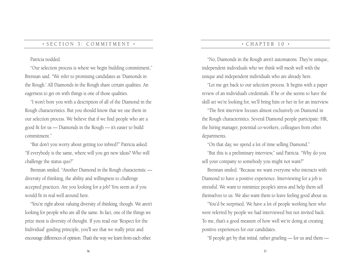#### • SECTION 3: COMMITMENT •

Patricia nodded.

"Our selection process is where we begin building commitment," Brennan said. "We refer to promising candidates as 'Diamonds in the Rough.' All Diamonds in the Rough share certain qualities. An eagerness to get on with things is one of those qualities.

"I won't bore you with a description of all of the Diamond in the Rough characteristics. But you should know that we use them in our selection process. We believe that if we find people who are a good fit for us — Diamonds in the Rough — it's easier to build commitment."

"But don't you worry about getting too inbred?" Patricia asked. "If everybody is the same, where will you get new ideas? Who will challenge the status quo?"

Brennan smiled. "Another Diamond in the Rough characteristic diversity of thinking, the ability and willingness to challenge accepted practices. Are you looking for a job? You seem as if you would fit in real well around here.

"You're right about valuing diversity of thinking, though. We aren't looking for people who are all the same. In fact, one of the things we prize most is diversity of thought. If you read our 'Respect for the Individual' guiding principle, you'll see that we really prize and encourage differences of opinion. That's the way we learn from each other.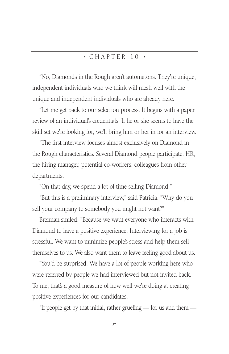"No, Diamonds in the Rough aren't automatons. They're unique, independent individuals who we think will mesh well with the unique and independent individuals who are already here.

"Let me get back to our selection process. It begins with a paper review of an individual's credentials. If he or she seems to have the skill set we're looking for, we'll bring him or her in for an interview.

"The first interview focuses almost exclusively on Diamond in the Rough characteristics. Several Diamond people participate: HR, the hiring manager, potential co-workers, colleagues from other departments.

"On that day, we spend a lot of time selling Diamond."

"But this is a preliminary interview," said Patricia. "Why do you sell your company to somebody you might not want?"

Brennan smiled. "Because we want everyone who interacts with Diamond to have a positive experience. Interviewing for a job is stressful. We want to minimize people's stress and help them sell themselves to us. We also want them to leave feeling good about us.

"You'd be surprised. We have a lot of people working here who were referred by people we had interviewed but not invited back. To me, that's a good measure of how well we're doing at creating positive experiences for our candidates.

"If people get by that initial, rather grueling — for us and them —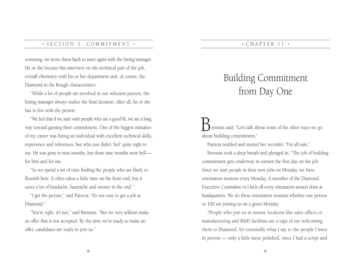#### • SECTION 3: COMMITMENT •

screening, we invite them back to meet again with the hiring manager. He or she focuses this interview on the technical part of the job, overall chemistry with his or her department and, of course, the Diamond in the Rough characteristics.

"While a lot of people are involved in our selection process, the hiring manager always makes the final decision. After all, he or she has to live with the person.

"We feel that if we start with people who are a good fit, we are a long way toward gaining their commitment. One of the biggest mistakes of my career was hiring an individual with excellent technical skills, experience and references, but who just didn't 'feel' quite right to me. He was gone in nine months, but those nine months were hell for him and for me.

"So we spend a lot of time finding the people who are likely to flourish here. It often takes a little time on the front end, but it saves a lot of headache, heartache and money in the end."

"I get the picture," said Patricia. "It's not easy to get a job at Diamond."

"You're right, it's not," said Brennan. "But we very seldom make an offer that is not accepted. By the time we're ready to make an offer, candidates are ready to join us."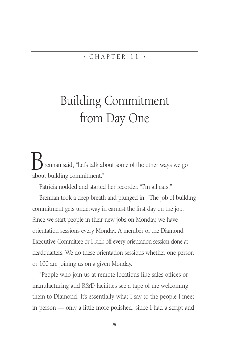# Building Commitment from Day One

rennan said, "Let's talk about some of the other ways we go B rennan said, "Let's talk ab about building commitment."

Patricia nodded and started her recorder. "I'm all ears."

Brennan took a deep breath and plunged in. "The job of building commitment gets underway in earnest the first day on the job. Since we start people in their new jobs on Monday, we have orientation sessions every Monday. A member of the Diamond Executive Committee or I kick off every orientation session done at headquarters. We do these orientation sessions whether one person or 100 are joining us on a given Monday.

"People who join us at remote locations like sales offices or manufacturing and R&D facilities see a tape of me welcoming them to Diamond. It's essentially what I say to the people I meet in person — only a little more polished, since I had a script and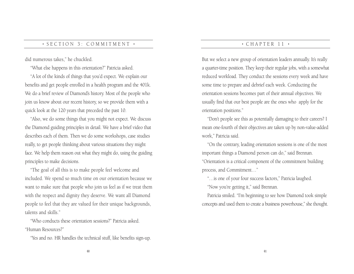did numerous takes," he chuckled.

"What else happens in this orientation?" Patricia asked.

"A lot of the kinds of things that you'd expect. We explain our benefits and get people enrolled in a health program and the 401k. We do a brief review of Diamond's history. Most of the people who join us know about our recent history, so we provide them with a quick look at the 120 years that preceded the past 10.

"Also, we do some things that you might not expect. We discuss the Diamond guiding principles in detail. We have a brief video that describes each of them. Then we do some workshops, case studies really, to get people thinking about various situations they might face. We help them reason out what they might do, using the guiding principles to make decisions.

"The goal of all this is to make people feel welcome and included. We spend so much time on our orientation because we want to make sure that people who join us feel as if we treat them with the respect and dignity they deserve. We want all Diamond people to feel that they are valued for their unique backgrounds, talents and skills."

"Who conducts these orientation sessions?" Patricia asked. "Human Resources?"

"Yes and no. HR handles the technical stuff, like benefits sign-up.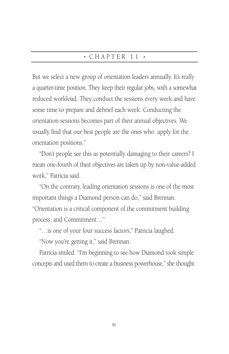#### • CHAPTER 11 •

But we select a new group of orientation leaders annually. It's really a quarter-time position. They keep their regular jobs, with a somewhat reduced workload. They conduct the sessions every week and have some time to prepare and debrief each week. Conducting the orientation sessions becomes part of their annual objectives. We usually find that our best people are the ones who apply for the orientation positions."

"Don't people see this as potentially damaging to their careers? I mean one-fourth of their objectives are taken up by non-value-added work," Patricia said.

"On the contrary, leading orientation sessions is one of the most important things a Diamond person can do," said Brennan. "Orientation is a critical component of the commitment building process, and Commitment…"

"…is one of your four success factors," Patricia laughed.

"Now you're getting it," said Brennan.

Patricia smiled. "I'm beginning to see how Diamond took simple concepts and used them to create a business powerhouse," she thought.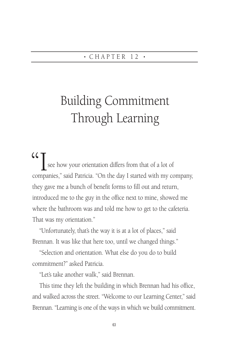# Building Commitment Through Learning

see how your orientation differs from that of a lot of companies," said Patricia. "On the day I started with my company, they gave me a bunch of benefit forms to fill out and return, introduced me to the guy in the office next to mine, showed me where the bathroom was and told me how to get to the cafeteria. That was my orientation."  $\left\{\begin{matrix} 6 \\ 1 \end{matrix}\right\}$  see

"Unfortunately, that's the way it is at a lot of places," said Brennan. It was like that here too, until we changed things."

"Selection and orientation. What else do you do to build commitment?" asked Patricia.

"Let's take another walk," said Brennan.

This time they left the building in which Brennan had his office, and walked across the street. "Welcome to our Learning Center," said Brennan. "Learning is one of the ways in which we build commitment.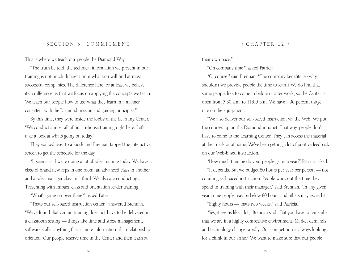This is where we teach our people the Diamond Way.

"The truth be told, the technical information we present in our training is not much different from what you will find at most successful companies. The difference here, or at least we believe it's a difference, is that we focus on applying the concepts we teach. We teach our people how to use what they learn in a manner consistent with the Diamond mission and guiding principles."

By this time, they were inside the lobby of the Learning Center. "We conduct almost all of our in-house training right here. Let's take a look at what's going on today."

They walked over to a kiosk and Brennan tapped the interactive screen to get the schedule for the day.

"It seems as if we're doing a lot of sales training today. We have a class of brand new reps in one room, an advanced class in another and a sales manager class in a third. We also are conducting a 'Presenting with Impact' class and orientation leader training."

"What's going on over there?" asked Patricia.

"That's our self-paced instruction center," answered Brennan. "We've found that certain training does not have to be delivered in a classroom setting — things like time and stress management, software skills, anything that is more information- than relationshiporiented. Our people reserve time in the Center and then learn at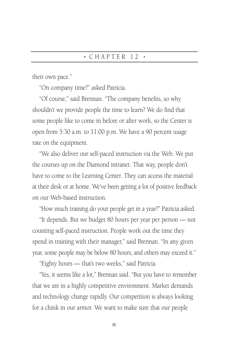their own pace."

"On company time?" asked Patricia.

"Of course," said Brennan. "The company benefits, so why shouldn't we provide people the time to learn? We do find that some people like to come in before or after work, so the Center is open from 5:30 a.m. to 11:00 p.m. We have a 90 percent usage rate on the equipment.

"We also deliver our self-paced instruction via the Web. We put the courses up on the Diamond intranet. That way, people don't have to come to the Learning Center. They can access the material at their desk or at home. We've been getting a lot of positive feedback on our Web-based instruction.

"How much training do your people get in a year?" Patricia asked. "It depends. But we budget 80 hours per year per person — not counting self-paced instruction. People work out the time they spend in training with their manager," said Brennan. "In any given year, some people may be below 80 hours, and others may exceed it."

"Eighty hours — that's two weeks," said Patricia.

"Yes, it seems like a lot," Brennan said. "But you have to remember that we are in a highly competitive environment. Market demands and technology change rapidly. Our competition is always looking for a chink in our armor. We want to make sure that our people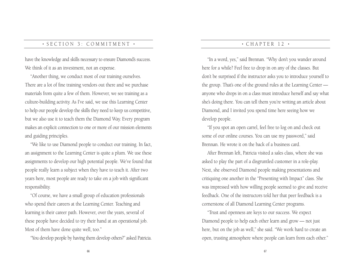have the knowledge and skills necessary to ensure Diamond's success. We think of it as an investment, not an expense.

"Another thing, we conduct most of our training ourselves. There are a lot of fine training vendors out there and we purchase materials from quite a few of them. However, we see training as a culture-building activity. As I've said, we use this Learning Center to help our people develop the skills they need to keep us competitive, but we also use it to teach them the Diamond Way. Every program makes an explicit connection to one or more of our mission elements and guiding principles.

"We like to use Diamond people to conduct our training. In fact, an assignment to the Learning Center is quite a plum. We use these assignments to develop our high potential people. We've found that people really learn a subject when they have to teach it. After two years here, most people are ready to take on a job with significant responsibility.

"Of course, we have a small group of education professionals who spend their careers at the Learning Center. Teaching and learning is their career path. However, over the years, several of these people have decided to try their hand at an operational job. Most of them have done quite well, too."

"You develop people by having them develop others?" asked Patricia.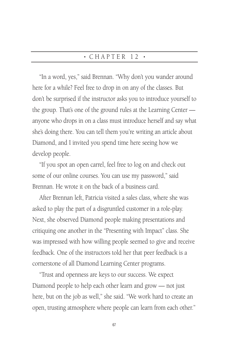#### • CHAPTER 12 •

"In a word, yes," said Brennan. "Why don't you wander around here for a while? Feel free to drop in on any of the classes. But don't be surprised if the instructor asks you to introduce yourself to the group. That's one of the ground rules at the Learning Center anyone who drops in on a class must introduce herself and say what she's doing there. You can tell them you're writing an article about Diamond, and I invited you spend time here seeing how we develop people.

"If you spot an open carrel, feel free to log on and check out some of our online courses. You can use my password," said Brennan. He wrote it on the back of a business card.

After Brennan left, Patricia visited a sales class, where she was asked to play the part of a disgruntled customer in a role-play. Next, she observed Diamond people making presentations and critiquing one another in the "Presenting with Impact" class. She was impressed with how willing people seemed to give and receive feedback. One of the instructors told her that peer feedback is a cornerstone of all Diamond Learning Center programs.

"Trust and openness are keys to our success. We expect Diamond people to help each other learn and grow — not just here, but on the job as well," she said. "We work hard to create an open, trusting atmosphere where people can learn from each other."

67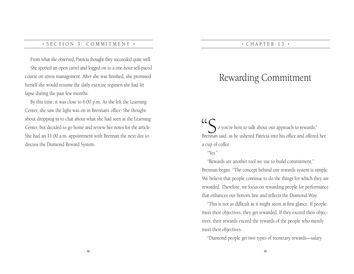From what she observed, Patricia thought they succeeded quite well. She spotted an open carrel and logged on to a one-hour self-paced course on stress management. After she was finished, she promised herself she would resume the daily exercise regimen she had let lapse during the past few months.

By this time, it was close to 6:00 p.m. As she left the Learning Center, she saw the light was on in Brennan's office. She thought about dropping in to chat about what she had seen at the Learning Center, but decided to go home and review her notes for the article. She had an 11:00 a.m. appointment with Brennan the next day to discuss the Diamond Reward System.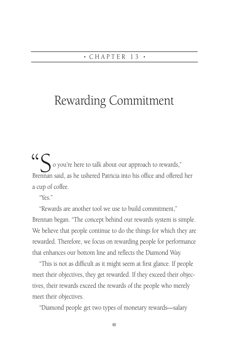### Rewarding Commitment

o you're here to talk about our approach to rewards," Brennan said, as he ushered Patricia into his office and offered her a cup of coffee. <sup>66</sup> So!

"Yes."

"Rewards are another tool we use to build commitment," Brennan began. "The concept behind our rewards system is simple. We believe that people continue to do the things for which they are rewarded. Therefore, we focus on rewarding people for performance that enhances our bottom line and reflects the Diamond Way.

"This is not as difficult as it might seem at first glance. If people meet their objectives, they get rewarded. If they exceed their objectives, their rewards exceed the rewards of the people who merely meet their objectives.

"Diamond people get two types of monetary rewards—salary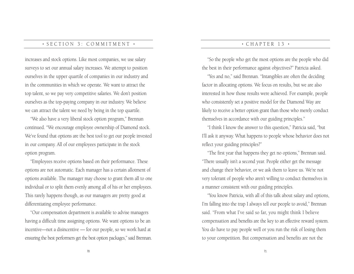increases and stock options. Like most companies, we use salary surveys to set our annual salary increases. We attempt to position ourselves in the upper quartile of companies in our industry and in the communities in which we operate. We want to attract the top talent, so we pay very competitive salaries. We don't position ourselves as the top-paying company in our industry. We believe we can attract the talent we need by being in the top quartile.

"We also have a very liberal stock option program," Brennan continued. "We encourage employee ownership of Diamond stock. We've found that options are the best tool to get our people invested in our company. All of our employees participate in the stock option program.

"Employees receive options based on their performance. These options are not automatic. Each manager has a certain allotment of options available. The manager may choose to grant them all to one individual or to split them evenly among all of his or her employees. This rarely happens though, as our managers are pretty good at differentiating employee performance.

"Our compensation department is available to advise managers having a difficult time assigning options. We want options to be an incentive—not a disincentive — for our people, so we work hard at ensuring the best performers get the best option packages," said Brennan.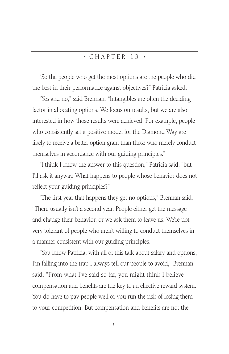### • CHAPTER 13 •

"So the people who get the most options are the people who did the best in their performance against objectives?" Patricia asked.

"Yes and no," said Brennan. "Intangibles are often the deciding factor in allocating options. We focus on results, but we are also interested in how those results were achieved. For example, people who consistently set a positive model for the Diamond Way are likely to receive a better option grant than those who merely conduct themselves in accordance with our guiding principles."

"I think I know the answer to this question," Patricia said, "but I'll ask it anyway. What happens to people whose behavior does not reflect your guiding principles?"

"The first year that happens they get no options," Brennan said. "There usually isn't a second year. People either get the message and change their behavior, or we ask them to leave us. We're not very tolerant of people who aren't willing to conduct themselves in a manner consistent with our guiding principles.

"You know Patricia, with all of this talk about salary and options, I'm falling into the trap I always tell our people to avoid," Brennan said. "From what I've said so far, you might think I believe compensation and benefits are the key to an effective reward system. You do have to pay people well or you run the risk of losing them to your competition. But compensation and benefits are not the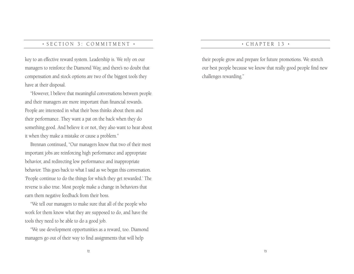key to an effective reward system. Leadership is. We rely on our managers to reinforce the Diamond Way, and there's no doubt that compensation and stock options are two of the biggest tools they have at their disposal.

"However, I believe that meaningful conversations between people and their managers are more important than financial rewards. People are interested in what their boss thinks about them and their performance. They want a pat on the back when they do something good. And believe it or not, they also want to hear about it when they make a mistake or cause a problem."

Brennan continued, "Our managers know that two of their most important jobs are reinforcing high performance and appropriate behavior, and redirecting low performance and inappropriate behavior. This goes back to what I said as we began this conversation. 'People continue to do the things for which they get rewarded.' The reverse is also true. Most people make a change in behaviors that earn them negative feedback from their boss.

"We tell our managers to make sure that all of the people who work for them know what they are supposed to do, and have the tools they need to be able to do a good job.

"We use development opportunities as a reward, too. Diamond managers go out of their way to find assignments that will help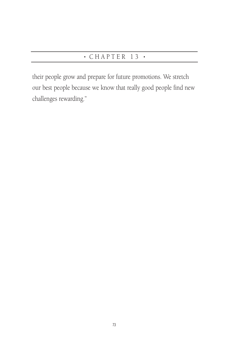their people grow and prepare for future promotions. We stretch our best people because we know that really good people find new challenges rewarding."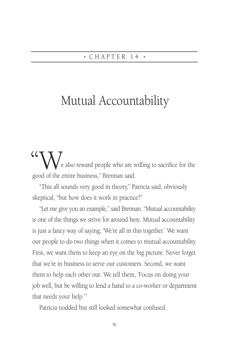### Mutual Accountability

 $\ell$  e also reward people who are willing to sacrifice for the  $\begin{matrix} \text{cc} \\ \text{W} \\ \text{c} \end{matrix}$  also reward people who are v<br>good of the entire business," Brennan said.

"This all sounds very good in theory," Patricia said, obviously skeptical, "but how does it work in practice?"

"Let me give you an example," said Brennan. "Mutual accountability is one of the things we strive for around here. Mutual accountability is just a fancy way of saying, 'We're all in this together.' We want our people to do two things when it comes to mutual accountability. First, we want them to keep an eye on the big picture. Never forget that we're in business to serve our customers. Second, we want them to help each other out. We tell them, 'Focus on doing your job well, but be willing to lend a hand to a co-worker or department that needs your help.'"

Patricia nodded but still looked somewhat confused.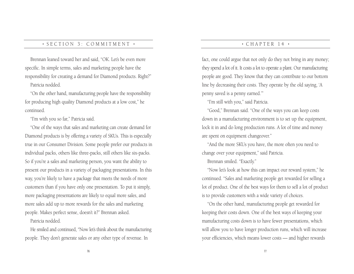Brennan leaned toward her and said, "OK. Let's be even more specific. In simple terms, sales and marketing people have the responsibility for creating a demand for Diamond products. Right?"

Patricia nodded.

"On the other hand, manufacturing people have the responsibility for producing high quality Diamond products at a low cost," he continued.

"I'm with you so far," Patricia said.

"One of the ways that sales and marketing can create demand for Diamond products is by offering a variety of SKUs. This is especially true in our Consumer Division. Some people prefer our products in individual packs, others like three-packs, still others like six-packs. So if you're a sales and marketing person, you want the ability to present our products in a variety of packaging presentations. In this way, you're likely to have a package that meets the needs of more customers than if you have only one presentation. To put it simply, more packaging presentations are likely to equal more sales, and more sales add up to more rewards for the sales and marketing people. Makes perfect sense, doesn't it?" Brennan asked.

Patricia nodded.

He smiled and continued, "Now let's think about the manufacturing people. They don't generate sales or any other type of revenue. In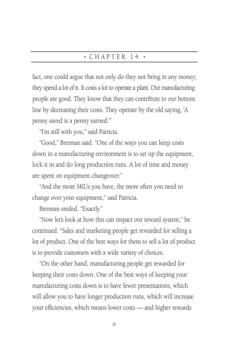fact, one could argue that not only do they not bring in any money; they spend a lot of it. It costs a lot to operate a plant. Our manufacturing people are good. They know that they can contribute to our bottom line by decreasing their costs. They operate by the old saying, 'A penny saved is a penny earned.'"

"I'm still with you," said Patricia.

"Good," Brennan said. "One of the ways you can keep costs down in a manufacturing environment is to set up the equipment, lock it in and do long production runs. A lot of time and money are spent on equipment changeover."

"And the more SKUs you have, the more often you need to change over your equipment," said Patricia.

Brennan smiled. "Exactly."

"Now let's look at how this can impact our reward system," he continued. "Sales and marketing people get rewarded for selling a lot of product. One of the best ways for them to sell a lot of product is to provide customers with a wide variety of choices.

"On the other hand, manufacturing people get rewarded for keeping their costs down. One of the best ways of keeping your manufacturing costs down is to have fewer presentations, which will allow you to have longer production runs, which will increase your efficiencies, which means lower costs — and higher rewards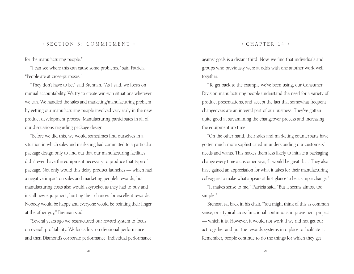for the manufacturing people."

"I can see where this can cause some problems," said Patricia. "People are at cross-purposes."

"They don't have to be," said Brennan. "As I said, we focus on mutual accountability. We try to create win-win situations wherever we can. We handled the sales and marketing/manufacturing problem by getting our manufacturing people involved very early in the new product development process. Manufacturing participates in all of our discussions regarding package design.

"Before we did this, we would sometimes find ourselves in a situation in which sales and marketing had committed to a particular package design only to find out that our manufacturing facilities didn't even have the equipment necessary to produce that type of package. Not only would this delay product launches — which had a negative impact on sales and marketing people's rewards, but manufacturing costs also would skyrocket as they had to buy and install new equipment, hurting their chances for excellent rewards. Nobody would be happy and everyone would be pointing their finger at the other guy," Brennan said.

"Several years ago we restructured our reward system to focus on overall profitability. We focus first on divisional performance and then Diamond's corporate performance. Individual performance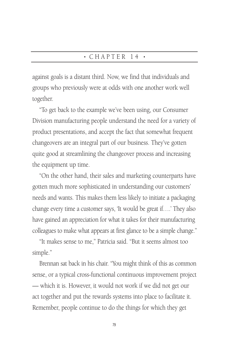against goals is a distant third. Now, we find that individuals and groups who previously were at odds with one another work well together.

"To get back to the example we've been using, our Consumer Division manufacturing people understand the need for a variety of product presentations, and accept the fact that somewhat frequent changeovers are an integral part of our business. They've gotten quite good at streamlining the changeover process and increasing the equipment up time.

"On the other hand, their sales and marketing counterparts have gotten much more sophisticated in understanding our customers' needs and wants. This makes them less likely to initiate a packaging change every time a customer says, 'It would be great if….' They also have gained an appreciation for what it takes for their manufacturing colleagues to make what appears at first glance to be a simple change."

"It makes sense to me," Patricia said. "But it seems almost too simple."

Brennan sat back in his chair. "You might think of this as common sense, or a typical cross-functional continuous improvement project — which it is. However, it would not work if we did not get our act together and put the rewards systems into place to facilitate it. Remember, people continue to do the things for which they get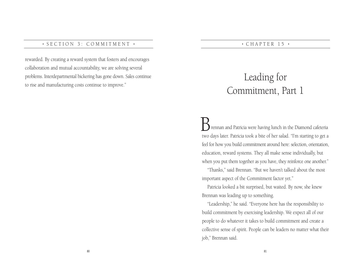rewarded. By creating a reward system that fosters and encourages collaboration and mutual accountability, we are solving several problems. Interdepartmental bickering has gone down. Sales continue to rise and manufacturing costs continue to improve."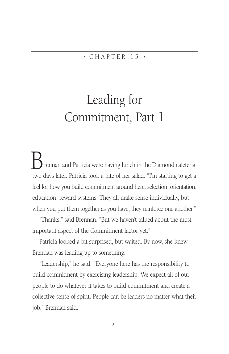# Leading for Commitment, Part 1

rennan and Patricia were having lunch in the Diamond cafeteria B rennan and Patricia were having lunch in the Diamond cafeteria<br>two days later. Patricia took a bite of her salad. "I'm starting to get a feel for how you build commitment around here: selection, orientation, education, reward systems. They all make sense individually, but when you put them together as you have, they reinforce one another."

"Thanks," said Brennan. "But we haven't talked about the most important aspect of the Commitment factor yet."

Patricia looked a bit surprised, but waited. By now, she knew Brennan was leading up to something.

"Leadership," he said. "Everyone here has the responsibility to build commitment by exercising leadership. We expect all of our people to do whatever it takes to build commitment and create a collective sense of spirit. People can be leaders no matter what their job," Brennan said.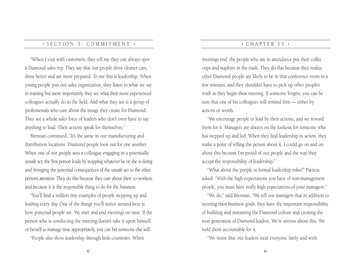"When I visit with customers, they tell me they can always spot a Diamond sales rep. They say that our people drive cleaner cars, dress better and are more prepared. To me this is leadership. When young people join our sales organization, they listen to what we say in training but more importantly, they see what their more experienced colleagues actually do in the field. And what they see is a group of professionals who care about the image they create for Diamond. They see a whole sales force of leaders who don't even have to say anything to lead. Their actions speak for themselves."

Brennan continued, "It's the same in our manufacturing and distribution locations. Diamond people look out for one another. When one of our people sees a colleague engaging in a potentially unsafe act, the first person leads by stopping whatever he or she is doing and bringing the potential consequences of the unsafe act to the other person's attention. They do this because they care about their co-workers and because it is the responsible thing to do for the business.

"You'll find a million tiny examples of people stepping up and leading every day. One of the things you'll notice around here is how punctual people are. We start and end meetings on time. If the person who is conducting the meeting doesn't take it upon himself or herself to manage time appropriately, you can bet someone else will.

"People also show leadership through little courtesies. When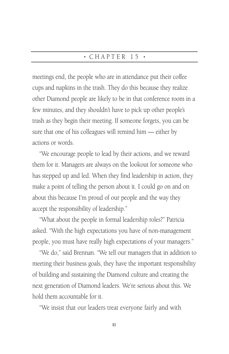meetings end, the people who are in attendance put their coffee cups and napkins in the trash. They do this because they realize other Diamond people are likely to be in that conference room in a few minutes, and they shouldn't have to pick up other people's trash as they begin their meeting. If someone forgets, you can be sure that one of his colleagues will remind him — either by actions or words.

"We encourage people to lead by their actions, and we reward them for it. Managers are always on the lookout for someone who has stepped up and led. When they find leadership in action, they make a point of telling the person about it. I could go on and on about this because I'm proud of our people and the way they accept the responsibility of leadership."

"What about the people in formal leadership roles?" Patricia asked. "With the high expectations you have of non-management people, you must have really high expectations of your managers."

"We do," said Brennan. "We tell our managers that in addition to meeting their business goals, they have the important responsibility of building and sustaining the Diamond culture and creating the next generation of Diamond leaders. We're serious about this. We hold them accountable for it.

"We insist that our leaders treat everyone fairly and with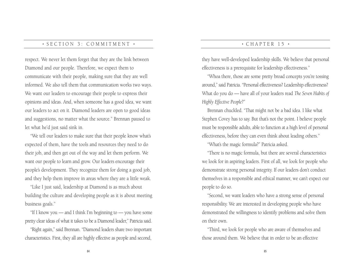respect. We never let them forget that they are the link between Diamond and our people. Therefore, we expect them to communicate with their people, making sure that they are well informed. We also tell them that communication works two ways. We want our leaders to encourage their people to express their opinions and ideas. And, when someone has a good idea, we want our leaders to act on it. Diamond leaders are open to good ideas and suggestions, no matter what the source." Brennan paused to let what he'd just said sink in.

"We tell our leaders to make sure that their people know what's expected of them, have the tools and resources they need to do their job, and then get out of the way and let them perform. We want our people to learn and grow. Our leaders encourage their people's development. They recognize them for doing a good job, and they help them improve in areas where they are a little weak.

"Like I just said, leadership at Diamond is as much about building the culture and developing people as it is about meeting business goals."

"If I know you — and I think I'm beginning to — you have some pretty clear ideas of what it takes to be a Diamond leader," Patricia said.

"Right again," said Brennan. "Diamond leaders share two important characteristics. First, they all are highly effective as people and second,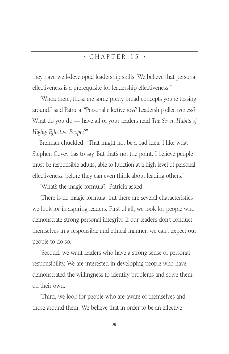they have well-developed leadership skills. We believe that personal effectiveness is a prerequisite for leadership effectiveness."

"Whoa there, those are some pretty broad concepts you're tossing around," said Patricia. "Personal effectiveness? Leadership effectiveness? What do you do — have all of your leaders read *The Seven Habits of Highly Effective People*?"

Brennan chuckled. "That might not be a bad idea. I like what Stephen Covey has to say. But that's not the point. I believe people must be responsible adults, able to function at a high level of personal effectiveness, before they can even think about leading others."

"What's the magic formula?" Patricia asked.

"There is no magic formula, but there are several characteristics we look for in aspiring leaders. First of all, we look for people who demonstrate strong personal integrity. If our leaders don't conduct themselves in a responsible and ethical manner, we can't expect our people to do so.

"Second, we want leaders who have a strong sense of personal responsibility. We are interested in developing people who have demonstrated the willingness to identify problems and solve them on their own.

"Third, we look for people who are aware of themselves and those around them. We believe that in order to be an effective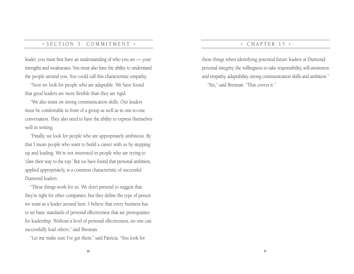leader, you must first have an understanding of who you are — your strengths and weaknesses. You must also have the ability to understand the people around you. You could call this characteristic empathy.

"Next we look for people who are adaptable. We have found that good leaders are more flexible than they are rigid.

"We also insist on strong communication skills. Our leaders must be comfortable in front of a group as well as in one-to-one conversation. They also need to have the ability to express themselves well in writing.

"Finally, we look for people who are appropriately ambitious. By that I mean people who want to build a career with us by stepping up and leading. We're not interested in people who are trying to 'claw their way to the top.' But we have found that personal ambition, applied appropriately, is a common characteristic of successful Diamond leaders.

"These things work for us. We don't pretend to suggest that they're right for other companies, but they define the type of person we want as a leader around here. I believe that every business has to set basic standards of personal effectiveness that are prerequisites for leadership. Without a level of personal effectiveness, no one can successfully lead others," said Brennan.

"Let me make sure I've got them," said Patricia. "You look for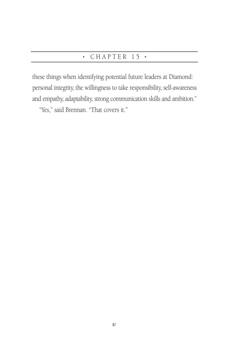these things when identifying potential future leaders at Diamond: personal integrity, the willingness to take responsibility, self-awareness and empathy, adaptability, strong communication skills and ambition."

"Yes," said Brennan. "That covers it."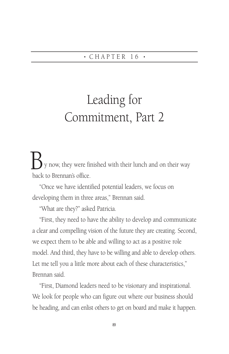# Leading for Commitment, Part 2

y now, they were finished with their lunch and on their way By now, they were fir<br>back to Brennan's office.

"Once we have identified potential leaders, we focus on developing them in three areas," Brennan said.

"What are they?" asked Patricia.

"First, they need to have the ability to develop and communicate a clear and compelling vision of the future they are creating. Second, we expect them to be able and willing to act as a positive role model. And third, they have to be willing and able to develop others. Let me tell you a little more about each of these characteristics," Brennan said.

"First, Diamond leaders need to be visionary and inspirational. We look for people who can figure out where our business should be heading, and can enlist others to get on board and make it happen.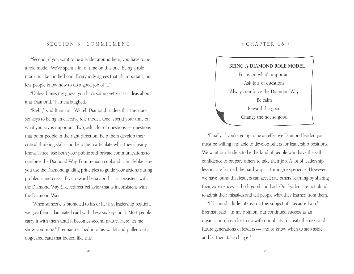"Second, if you want to be a leader around here, you have to be a role model. We've spent a lot of time on this one. Being a role model is like motherhood. Everybody agrees that it's important, but few people know how to do a good job of it."

"Unless I miss my guess, you have some pretty clear ideas about it at Diamond," Patricia laughed.

"Right," said Brennan. "We tell Diamond leaders that there are six keys to being an effective role model. One, spend your time on what you say is important. Two, ask a lot of questions — questions that point people in the right direction, help them develop their critical thinking skills and help them articulate what they already know. Three, use both your public and private communications to reinforce the Diamond Way. Four, remain cool and calm. Make sure you use the Diamond guiding principles to guide your actions during problems and crises. Five, reward behavior that is consistent with the Diamond Way. Six, redirect behavior that is inconsistent with the Diamond Way.

"When someone is promoted to his or her first leadership position, we give them a laminated card with these six keys on it. Most people carry it with them until it becomes second nature. Here, let me show you mine." Brennan reached into his wallet and pulled out a dog-eared card that looked like this.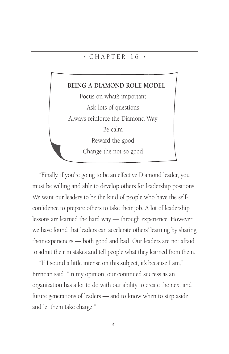#### $\cdot$  CHAPTER 16  $\cdot$



"Finally, if you're going to be an effective Diamond leader, you must be willing and able to develop others for leadership positions. We want our leaders to be the kind of people who have the selfconfidence to prepare others to take their job. A lot of leadership lessons are learned the hard way — through experience. However, we have found that leaders can accelerate others' learning by sharing their experiences — both good and bad. Our leaders are not afraid to admit their mistakes and tell people what they learned from them.

"If I sound a little intense on this subject, it's because I am," Brennan said. "In my opinion, our continued success as an organization has a lot to do with our ability to create the next and future generations of leaders — and to know when to step aside and let them take charge."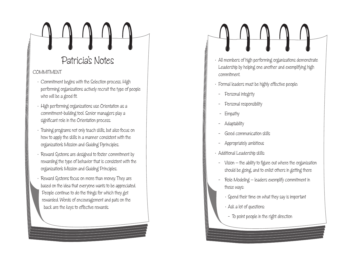### Patricia's Notes

### **COMMITMENT**

- Commitment begins with the Selection process. High performing organizations actively recruit the type of people who will be a good fit.
- High performing organizations use Orientation as a commitment-building tool. Senior managers play a significant role in the Orientation process.
- Training programs not only teach skills, but also focus on how to apply the skills in a manner consistent with the organization's Mission and Guiding Pprinciples.
- Reward Systems are designed to foster commitment by rewarding the type of behavior that is consistent with the organization's Mission and Guiding Principles.
- Reward Systems focus on more than money. They are based on the idea that everyone wants to be appreciated. People continue to do the things for which they get rewarded. Words of encouragement and pats on the back are the keys to effective rewards.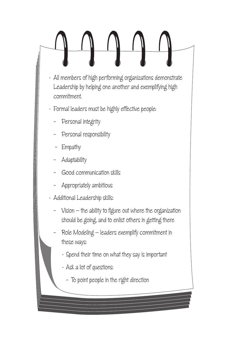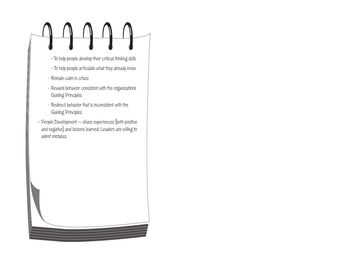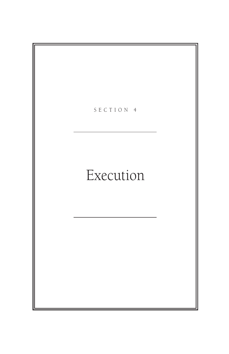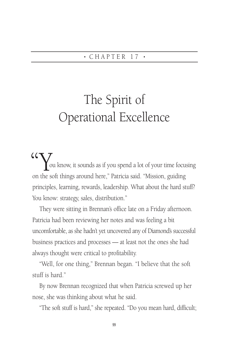## The Spirit of Operational Excellence

ou know, it sounds as if you spend a lot of your time focusing on the soft things around here," Patricia said. "Mission, guiding principles, learning, rewards, leadership. What about the hard stuff? You know: strategy, sales, distribution."  $\bigvee_{\text{ou k}}$ 

They were sitting in Brennan's office late on a Friday afternoon. Patricia had been reviewing her notes and was feeling a bit uncomfortable, as she hadn't yet uncovered any of Diamond's successful business practices and processes — at least not the ones she had always thought were critical to profitability.

"Well, for one thing," Brennan began. "I believe that the soft stuff is hard."

By now Brennan recognized that when Patricia screwed up her nose, she was thinking about what he said.

"The soft stuff is hard," she repeated. "Do you mean hard, difficult;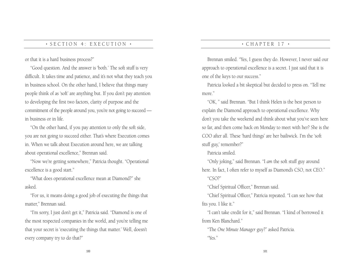### • SECTION 4: EXECUTION •

or that it is a hard business process?"

"Good question. And the answer is 'both.' The soft stuff is very difficult. It takes time and patience, and it's not what they teach you in business school. On the other hand, I believe that things many people think of as 'soft' are anything but. If you don't pay attention to developing the first two factors, clarity of purpose and the commitment of the people around you, you're not going to succeed in business or in life.

"On the other hand, if you pay attention to only the soft side, you are not going to succeed either. That's where Execution comes in. When we talk about Execution around here, we are talking about operational excellence," Brennan said.

"Now we're getting somewhere," Patricia thought. "Operational excellence is a good start."

"What does operational excellence mean at Diamond?" she asked.

"For us, it means doing a good job of executing the things that matter," Brennan said.

"I'm sorry, I just don't get it," Patricia said. "Diamond is one of the most respected companies in the world, and you're telling me that your secret is 'executing the things that matter.' Well, doesn't every company try to do that?"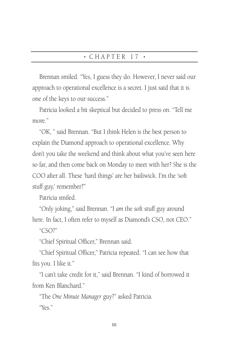Brennan smiled. "Yes, I guess they do. However, I never said our approach to operational excellence is a secret. I just said that it is one of the keys to our success."

Patricia looked a bit skeptical but decided to press on. "Tell me more."

"OK, " said Brennan. "But I think Helen is the best person to explain the Diamond approach to operational excellence. Why don't you take the weekend and think about what you've seen here so far, and then come back on Monday to meet with her? She is the COO after all. These 'hard things' are her bailiwick. I'm the 'soft stuff guy,' remember?"

Patricia smiled.

"Only joking," said Brennan. "I *am* the soft stuff guy around here. In fact, I often refer to myself as Diamond's CSO, not CEO."

"CSO?"

"Chief Spiritual Officer," Brennan said.

"Chief Spiritual Officer," Patricia repeated. "I can see how that fits you. I like it."

"I can't take credit for it," said Brennan. "I kind of borrowed it from Ken Blanchard."

"The *One Minute Manager* guy?" asked Patricia. "Yes."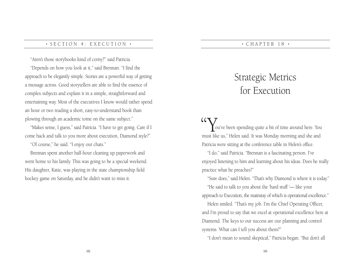### • SECTION 4: EXECUTION •

"Aren't those storybooks kind of corny?" said Patricia.

"Depends on how you look at it," said Brennan. "I find the approach to be elegantly simple. Stories are a powerful way of getting a message across. Good storytellers are able to find the essence of complex subjects and explain it in a simple, straightforward and entertaining way. Most of the executives I know would rather spend an hour or two reading a short, easy-to-understand book than plowing through an academic tome on the same subject."

"Makes sense, I guess," said Patricia. "I have to get going. Care if I come back and talk to you more about execution, Diamond style?"

"Of course," he said. "I enjoy our chats."

Brennan spent another half-hour cleaning up paperwork and went home to his family. This was going to be a special weekend. His daughter, Katie, was playing in the state championship field hockey game on Saturday, and he didn't want to miss it.

102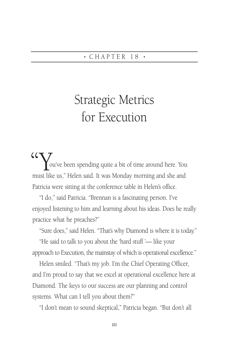### Strategic Metrics for Execution

ou've been spending quite a bit of time around here. You must like us," Helen said. It was Monday morning and she and Patricia were sitting at the conference table in Helen's office.  $\bigvee_{\text{out}}$  ou'v

"I do," said Patricia. "Brennan is a fascinating person. I've enjoyed listening to him and learning about his ideas. Does he really practice what he preaches?"

"Sure does," said Helen. "That's why Diamond is where it is today."

"He said to talk to you about the 'hard stuff '— like your approach to Execution, the mainstay of which is operational excellence."

Helen smiled. "That's my job. I'm the Chief Operating Officer, and I'm proud to say that we excel at operational excellence here at Diamond. The keys to our success are our planning and control systems. What can I tell you about them?"

"I don't mean to sound skeptical," Patricia began. "But don't all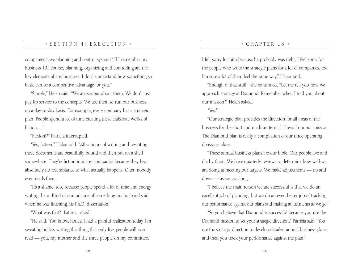### • SECTION 4: EXECUTION •

companies have planning and control systems? If I remember my Business 101 course, planning, organizing and controlling are the key elements of any business. I don't understand how something so basic can be a competitive advantage for you."

"Simple," Helen said. "We are serious about them. We don't just pay lip service to the concepts. We use them to run our business on a day-to-day basis. For example, every company has a strategic plan. People spend a lot of time creating these elaborate works of fiction…."

"Fiction!?" Patricia interrupted.

"Yes, fiction," Helen said. "After hours of writing and rewriting, these documents are beautifully bound and then put on a shelf somewhere. They're fiction in many companies because they bear absolutely no resemblance to what actually happens. Often nobody even reads them.

"It's a shame, too, because people spend a lot of time and energy writing them. Kind of reminds me of something my husband said when he was finishing his Ph.D. dissertation."

"What was that?" Patricia asked.

"He said, 'You know, honey, I had a painful realization today. I'm sweating bullets writing this thing that only five people will ever read — you, my mother and the three people on my committee.'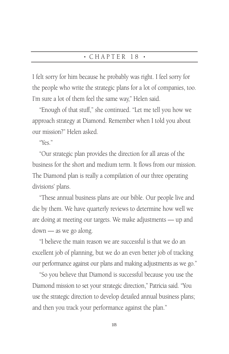I felt sorry for him because he probably was right. I feel sorry for the people who write the strategic plans for a lot of companies, too. I'm sure a lot of them feel the same way," Helen said.

"Enough of that stuff," she continued. "Let me tell you how we approach strategy at Diamond. Remember when I told you about our mission?" Helen asked.

"Yes."

"Our strategic plan provides the direction for all areas of the business for the short and medium term. It flows from our mission. The Diamond plan is really a compilation of our three operating divisions' plans.

"These annual business plans are our bible. Our people live and die by them. We have quarterly reviews to determine how well we are doing at meeting our targets. We make adjustments — up and down — as we go along.

"I believe the main reason we are successful is that we do an excellent job of planning, but we do an even better job of tracking our performance against our plans and making adjustments as we go."

"So you believe that Diamond is successful because you use the Diamond mission to set your strategic direction," Patricia said. "You use the strategic direction to develop detailed annual business plans; and then you track your performance against the plan."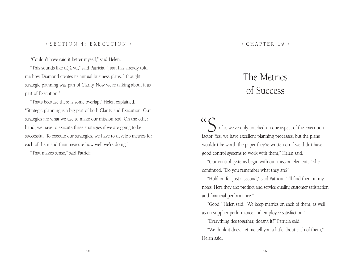### • SECTION 4: EXECUTION •

"Couldn't have said it better myself," said Helen.

"This sounds like déjà vu," said Patricia. "Juan has already told me how Diamond creates its annual business plans. I thought strategic planning was part of Clarity. Now we're talking about it as part of Execution."

"That's because there is some overlap," Helen explained. "Strategic planning is a big part of both Clarity and Execution. Our strategies are what we use to make our mission real. On the other hand, we have to execute these strategies if we are going to be successful. To execute our strategies, we have to develop metrics for each of them and then measure how well we're doing."

"That makes sense," said Patricia.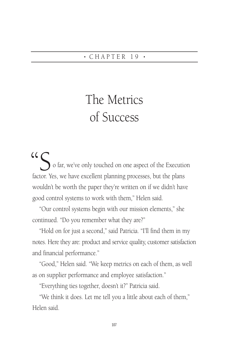## The Metrics of Success

o far, we've only touched on one aspect of the Execution Go far, we've only touched on one aspect of the Execution factor. Yes, we have excellent planning processes, but the plans wouldn't be worth the paper they're written on if we didn't have good control systems to work with them," Helen said.

"Our control systems begin with our mission elements," she continued. "Do you remember what they are?"

"Hold on for just a second," said Patricia. "I'll find them in my notes. Here they are: product and service quality, customer satisfaction and financial performance."

"Good," Helen said. "We keep metrics on each of them, as well as on supplier performance and employee satisfaction."

"Everything ties together, doesn't it?" Patricia said.

"We think it does. Let me tell you a little about each of them," Helen said.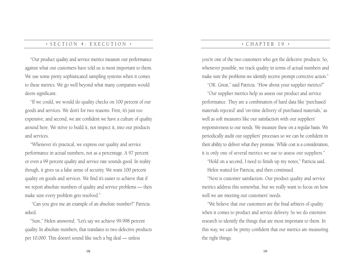### • SECTION 4: EXECUTION •

"Our product quality and service metrics measure our performance against what our customers have told us is most important to them. We use some pretty sophisticated sampling systems when it comes to these metrics. We go well beyond what many companies would deem significant.

"If we could, we would do quality checks on 100 percent of our goods and services. We don't for two reasons. First, it's just too expensive; and second, we are confident we have a culture of quality around here. We strive to build it, not inspect it, into our products and services.

"Whenever it's practical, we express our quality and service performance in actual numbers, not as a percentage. A 97 percent or even a 99 percent quality and service rate sounds good. In reality though, it gives us a false sense of security. We want 100 percent quality on goods and services. We find it's easier to achieve that if we report absolute numbers of quality and service problems — then make sure every problem gets resolved."

"Can you give me an example of an absolute number?" Patricia asked.

"Sure," Helen answered. "Let's say we achieve 99.998 percent quality. In absolute numbers, that translates to two defective products per 10,000. This doesn't sound like such a big deal — unless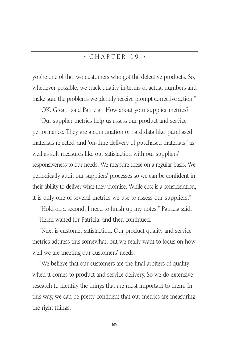you're one of the two customers who got the defective products. So, whenever possible, we track quality in terms of actual numbers and make sure the problems we identify receive prompt corrective action."

"OK. Great," said Patricia. "How about your supplier metrics?"

"Our supplier metrics help us assess our product and service performance. They are a combination of hard data like 'purchased materials rejected' and 'on-time delivery of purchased materials,' as well as soft measures like our satisfaction with our suppliers' responsiveness to our needs. We measure these on a regular basis. We periodically audit our suppliers' processes so we can be confident in their ability to deliver what they promise. While cost is a consideration, it is only one of several metrics we use to assess our suppliers."

"Hold on a second, I need to finish up my notes," Patricia said. Helen waited for Patricia, and then continued.

"Next is customer satisfaction. Our product quality and service metrics address this somewhat, but we really want to focus on how well we are meeting our customers' needs.

"We believe that our customers are the final arbiters of quality when it comes to product and service delivery. So we do extensive research to identify the things that are most important to them. In this way, we can be pretty confident that our metrics are measuring the right things.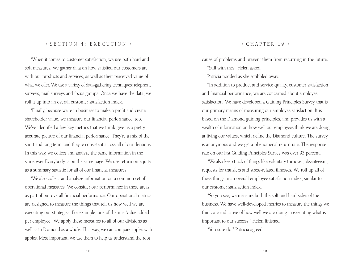### • SECTION 4: EXECUTION •

"When it comes to customer satisfaction, we use both hard and soft measures. We gather data on how satisfied our customers are with our products and services, as well as their perceived value of what we offer. We use a variety of data-gathering techniques: telephone surveys, mail surveys and focus groups. Once we have the data, we roll it up into an overall customer satisfaction index.

"Finally, because we're in business to make a profit and create shareholder value, we measure our financial performance, too. We've identified a few key metrics that we think give us a pretty accurate picture of our financial performance. They're a mix of the short and long term, and they're consistent across all of our divisions. In this way, we collect and analyze the same information in the same way. Everybody is on the same page. We use return on equity as a summary statistic for all of our financial measures.

"We also collect and analyze information on a common set of operational measures. We consider our performance in these areas as part of our overall financial performance. Our operational metrics are designed to measure the things that tell us how well we are executing our strategies. For example, one of them is 'value added per employee.' We apply these measures to all of our divisions as well as to Diamond as a whole. That way, we can compare apples with apples. Most important, we use them to help us understand the root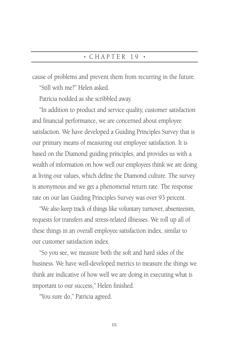cause of problems and prevent them from recurring in the future. "Still with me?" Helen asked.

Patricia nodded as she scribbled away.

"In addition to product and service quality, customer satisfaction and financial performance, we are concerned about employee satisfaction. We have developed a Guiding Principles Survey that is our primary means of measuring our employee satisfaction. It is based on the Diamond guiding principles, and provides us with a wealth of information on how well our employees think we are doing at living our values, which define the Diamond culture. The survey is anonymous and we get a phenomenal return rate. The response rate on our last Guiding Principles Survey was over 93 percent.

"We also keep track of things like voluntary turnover, absenteeism, requests for transfers and stress-related illnesses. We roll up all of these things in an overall employee satisfaction index, similar to our customer satisfaction index.

"So you see, we measure both the soft and hard sides of the business. We have well-developed metrics to measure the things we think are indicative of how well we are doing in executing what is important to our success," Helen finished.

"You sure do," Patricia agreed.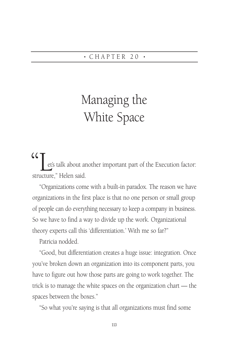## Managing the White Space

et's talk about another important part of the Execution factor: structure," Helen said.  $\begin{array}{c} \begin{array}{c} \text{1} \\ \text{2} \\ \text{2} \end{array} \\ \text{3} \end{array}$ 

"Organizations come with a built-in paradox. The reason we have organizations in the first place is that no one person or small group of people can do everything necessary to keep a company in business. So we have to find a way to divide up the work. Organizational theory experts call this 'differentiation.' With me so far?"

Patricia nodded.

"Good, but differentiation creates a huge issue: integration. Once you've broken down an organization into its component parts, you have to figure out how those parts are going to work together. The trick is to manage the white spaces on the organization chart — the spaces between the boxes."

"So what you're saying is that all organizations must find some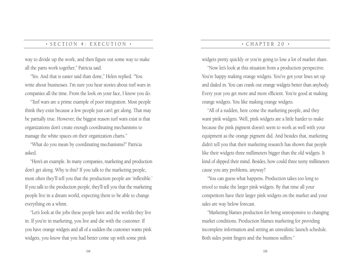### • SECTION 4: EXECUTION •

way to divide up the work, and then figure out some way to make all the parts work together," Patricia said.

"Yes. And that is easier said than done," Helen replied. "You write about businesses. I'm sure you hear stories about turf wars in companies all the time. From the look on your face, I know you do.

"Turf wars are a prime example of poor integration. Most people think they exist because a few people just can't get along. That may be partially true. However, the biggest reason turf wars exist is that organizations don't create enough coordinating mechanisms to manage the white spaces on their organization charts."

"What do you mean by coordinating mechanisms?" Patricia asked.

"Here's an example. In many companies, marketing and production don't get along. Why is this? If you talk to the marketing people, most often they'll tell you that the production people are 'inflexible.' If you talk to the production people, they'll tell you that the marketing people live in a dream world, expecting them to be able to change everything on a whim.

"Let's look at the jobs these people have and the worlds they live in. If you're in marketing, you live and die with the customer. If you have orange widgets and all of a sudden the customer wants pink widgets, you know that you had better come up with some pink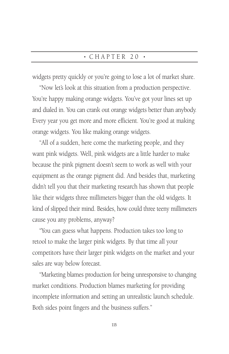widgets pretty quickly or you're going to lose a lot of market share.

"Now let's look at this situation from a production perspective. You're happy making orange widgets. You've got your lines set up and dialed in. You can crank out orange widgets better than anybody. Every year you get more and more efficient. You're good at making orange widgets. You like making orange widgets.

"All of a sudden, here come the marketing people, and they want pink widgets. Well, pink widgets are a little harder to make because the pink pigment doesn't seem to work as well with your equipment as the orange pigment did. And besides that, marketing didn't tell you that their marketing research has shown that people like their widgets three millimeters bigger than the old widgets. It kind of slipped their mind. Besides, how could three teeny millimeters cause you any problems, anyway?

"You can guess what happens. Production takes too long to retool to make the larger pink widgets. By that time all your competitors have their larger pink widgets on the market and your sales are way below forecast.

"Marketing blames production for being unresponsive to changing market conditions. Production blames marketing for providing incomplete information and setting an unrealistic launch schedule. Both sides point fingers and the business suffers."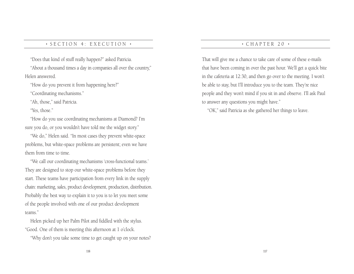### • SECTION 4: EXECUTION •

"Does that kind of stuff really happen?" asked Patricia.

"About a thousand times a day in companies all over the country," Helen answered.

"How do you prevent it from happening here?"

"Coordinating mechanisms."

"Ah, those," said Patricia.

"Yes, those."

"How do you use coordinating mechanisms at Diamond? I'm sure you do, or you wouldn't have told me the widget story."

"We do," Helen said. "In most cases they prevent white-space problems, but white-space problems are persistent; even we have them from time to time.

"We call our coordinating mechanisms 'cross-functional teams.' They are designed to stop our white-space problems before they start. These teams have participation from every link in the supply chain: marketing, sales, product development, production, distribution. Probably the best way to explain it to you is to let you meet some of the people involved with one of our product development teams."

Helen picked up her Palm Pilot and fiddled with the stylus. "Good. One of them is meeting this afternoon at 1 o'clock.

"Why don't you take some time to get caught up on your notes?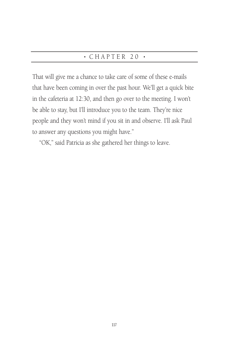That will give me a chance to take care of some of these e-mails that have been coming in over the past hour. We'll get a quick bite in the cafeteria at 12:30, and then go over to the meeting. I won't be able to stay, but I'll introduce you to the team. They're nice people and they won't mind if you sit in and observe. I'll ask Paul to answer any questions you might have."

"OK," said Patricia as she gathered her things to leave.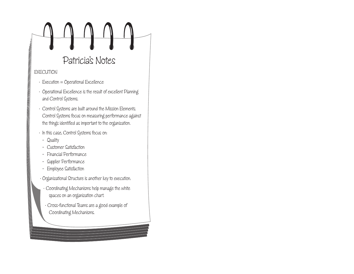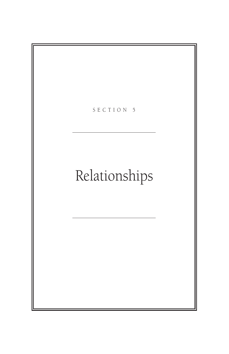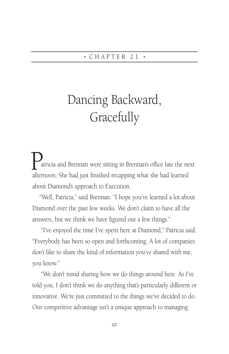## Dancing Backward, **Gracefully**

atricia and Brennan were sitting in Brennan's office late the next **P**atricia and Brennan were sitting in Brennan's office late the neafternoon. She had just finished recapping what she had learned about Diamond's approach to Execution.

"Well, Patricia," said Brennan. "I hope you've learned a lot about Diamond over the past few weeks. We don't claim to have all the answers, but we think we have figured out a few things."

"I've enjoyed the time I've spent here at Diamond," Patricia said. "Everybody has been so open and forthcoming. A lot of companies don't like to share the kind of information you've shared with me, you know."

"We don't mind sharing how we do things around here. As I've told you, I don't think we do anything that's particularly different or innovative. We're just committed to the things we've decided to do. Our competitive advantage isn't a unique approach to managing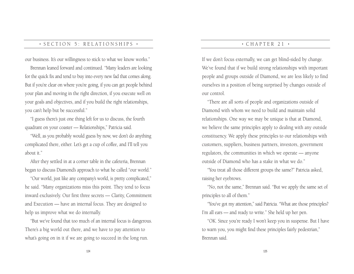our business. It's our willingness to stick to what we know works."

Brennan leaned forward and continued. "Many leaders are looking for the quick fix and tend to buy into every new fad that comes along. But if you're clear on where you're going, if you can get people behind your plan and moving in the right direction, if you execute well on your goals and objectives, and if you build the right relationships, you can't help but be successful."

"I guess there's just one thing left for us to discuss, the fourth quadrant on your coaster — Relationships," Patricia said.

"Well, as you probably would guess by now, we don't do anything complicated there, either. Let's get a cup of coffee, and I'll tell you about it."

After they settled in at a corner table in the cafeteria, Brennan began to discuss Diamond's approach to what he called "our world."

"Our world, just like any company's world, is pretty complicated," he said. "Many organizations miss this point. They tend to focus inward exclusively. Our first three secrets — Clarity, Commitment and Execution — have an internal focus. They are designed to help us improve what we do internally.

"But we've found that too much of an internal focus is dangerous. There's a big world out there, and we have to pay attention to what's going on in it if we are going to succeed in the long run.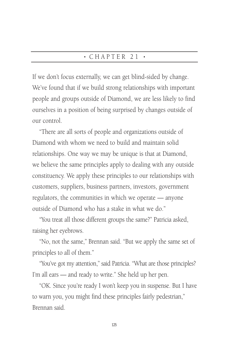If we don't focus externally, we can get blind-sided by change. We've found that if we build strong relationships with important people and groups outside of Diamond, we are less likely to find ourselves in a position of being surprised by changes outside of our control.

"There are all sorts of people and organizations outside of Diamond with whom we need to build and maintain solid relationships. One way we may be unique is that at Diamond, we believe the same principles apply to dealing with any outside constituency. We apply these principles to our relationships with customers, suppliers, business partners, investors, government regulators, the communities in which we operate — anyone outside of Diamond who has a stake in what we do."

"You treat all those different groups the same?" Patricia asked, raising her eyebrows.

"No, not the same," Brennan said. "But we apply the same set of principles to all of them."

"You've got my attention," said Patricia. "What are those principles? I'm all ears — and ready to write." She held up her pen.

"OK. Since you're ready I won't keep you in suspense. But I have to warn you, you might find these principles fairly pedestrian," Brennan said.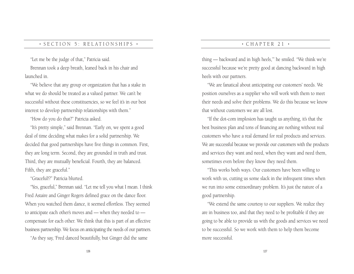"Let me be the judge of that," Patricia said.

Brennan took a deep breath, leaned back in his chair and launched in.

"We believe that any group or organization that has a stake in what we do should be treated as a valued partner. We can't be successful without these constituencies, so we feel it's in our best interest to develop partnership relationships with them."

"How do you do that?" Patricia asked.

"It's pretty simple," said Brennan. "Early on, we spent a good deal of time deciding what makes for a solid partnership. We decided that good partnerships have five things in common. First, they are long term. Second, they are grounded in truth and trust. Third, they are mutually beneficial. Fourth, they are balanced. Fifth, they are graceful."

"Graceful!?" Patricia blurted.

"Yes, graceful," Brennan said. "Let me tell you what I mean. I think Fred Astaire and Ginger Rogers defined grace on the dance floor. When you watched them dance, it seemed effortless. They seemed to anticipate each other's moves and — when they needed to compensate for each other. We think that this is part of an effective business partnership. We focus on anticipating the needs of our partners.

"As they say, 'Fred danced beautifully, but Ginger did the same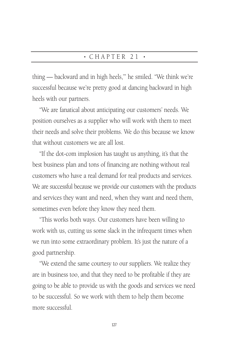thing — backward and in high heels,'" he smiled. "We think we're successful because we're pretty good at dancing backward in high heels with our partners.

"We are fanatical about anticipating our customers' needs. We position ourselves as a supplier who will work with them to meet their needs and solve their problems. We do this because we know that without customers we are all lost.

"If the dot-com implosion has taught us anything, it's that the best business plan and tons of financing are nothing without real customers who have a real demand for real products and services. We are successful because we provide our customers with the products and services they want and need, when they want and need them, sometimes even before they know they need them.

"This works both ways. Our customers have been willing to work with us, cutting us some slack in the infrequent times when we run into some extraordinary problem. It's just the nature of a good partnership.

"We extend the same courtesy to our suppliers. We realize they are in business too, and that they need to be profitable if they are going to be able to provide us with the goods and services we need to be successful. So we work with them to help them become more successful.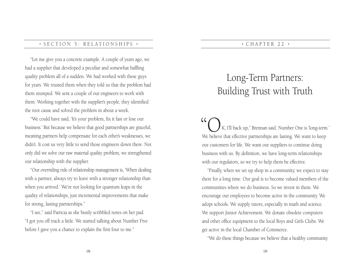"Let me give you a concrete example. A couple of years ago, we had a supplier that developed a peculiar and somewhat baffling quality problem all of a sudden. We had worked with these guys for years. We trusted them when they told us that the problem had them stumped. We sent a couple of our engineers to work with them. Working together with the supplier's people, they identified the root cause and solved the problem in about a week.

"We could have said, 'It's your problem, fix it fast or lose our business.' But because we believe that good partnerships are graceful, meaning partners help compensate for each other's weaknesses, we didn't. It cost us very little to send those engineers down there. Not only did we solve our raw material quality problem, we strengthened our relationship with the supplier.

"Our overriding rule of relationship management is, 'When dealing with a partner, always try to leave with a stronger relationship than when you arrived.' We're not looking for quantum leaps in the quality of relationships, just incremental improvements that make for strong, lasting partnerships."

"I see," said Patricia as she busily scribbled notes on her pad. "I got you off track a little. We started talking about Number Five before I gave you a chance to explain the first four to me."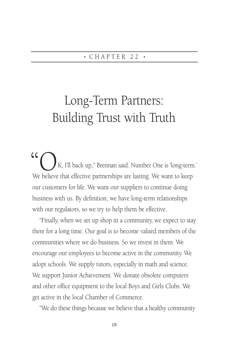### Long-Term Partners: Building Trust with Truth

K, I'll back up," Brennan said. Number One is 'long-term.' K, I'll back up," Brennan said. Number One is 'long-term<br>We believe that effective partnerships are lasting. We want to keep our customers for life. We want our suppliers to continue doing business with us. By definition, we have long-term relationships with our regulators, so we try to help them be effective.

"Finally, when we set up shop in a community, we expect to stay there for a long time. Our goal is to become valued members of the communities where we do business. So we invest in them. We encourage our employees to become active in the community. We adopt schools. We supply tutors, especially in math and science. We support Junior Achievement. We donate obsolete computers and other office equipment to the local Boys and Girls Clubs. We get active in the local Chamber of Commerce.

"We do these things because we believe that a healthy community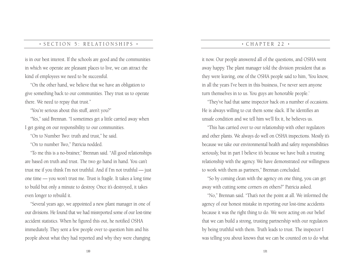is in our best interest. If the schools are good and the communities in which we operate are pleasant places to live, we can attract the kind of employees we need to be successful.

"On the other hand, we believe that we have an obligation to give something back to our communities. They trust us to operate there. We need to repay that trust."

"You're serious about this stuff, aren't you?"

"Yes," said Brennan. "I sometimes get a little carried away when I get going on our responsibility to our communities.

"On to Number Two: truth and trust," he said.

"On to number Two," Patricia nodded.

"To me this is a no-brainer," Brennan said. "All good relationships are based on truth and trust. The two go hand in hand. You can't trust me if you think I'm not truthful. And if I'm not truthful — just one time — you won't trust me. Trust is fragile. It takes a long time to build but only a minute to destroy. Once it's destroyed, it takes even longer to rebuild it.

"Several years ago, we appointed a new plant manager in one of our divisions. He found that we had misreported some of our lost-time accident statistics. When he figured this out, he notified OSHA immediately. They sent a few people over to question him and his people about what they had reported and why they were changing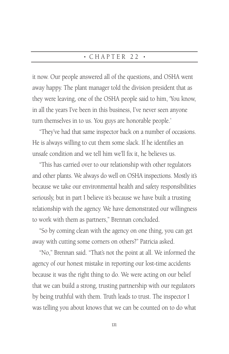it now. Our people answered all of the questions, and OSHA went away happy. The plant manager told the division president that as they were leaving, one of the OSHA people said to him, 'You know, in all the years I've been in this business, I've never seen anyone turn themselves in to us. You guys are honorable people.'

"They've had that same inspector back on a number of occasions. He is always willing to cut them some slack. If he identifies an unsafe condition and we tell him we'll fix it, he believes us.

"This has carried over to our relationship with other regulators and other plants. We always do well on OSHA inspections. Mostly it's because we take our environmental health and safety responsibilities seriously, but in part I believe it's because we have built a trusting relationship with the agency. We have demonstrated our willingness to work with them as partners," Brennan concluded.

"So by coming clean with the agency on one thing, you can get away with cutting some corners on others?" Patricia asked.

"No," Brennan said. "That's not the point at all. We informed the agency of our honest mistake in reporting our lost-time accidents because it was the right thing to do. We were acting on our belief that we can build a strong, trusting partnership with our regulators by being truthful with them. Truth leads to trust. The inspector I was telling you about knows that we can be counted on to do what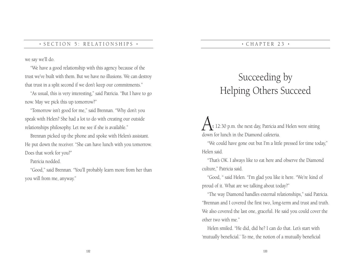we say we'll do.

"We have a good relationship with this agency because of the trust we've built with them. But we have no illusions. We can destroy that trust in a split second if we don't keep our commitments."

"As usual, this is very interesting," said Patricia. "But I have to go now. May we pick this up tomorrow?"

"Tomorrow isn't good for me," said Brennan. "Why don't you speak with Helen? She had a lot to do with creating our outside relationships philosophy. Let me see if she is available."

Brennan picked up the phone and spoke with Helen's assistant. He put down the receiver. "She can have lunch with you tomorrow. Does that work for you?"

Patricia nodded.

"Good," said Brennan. "You'll probably learn more from her than you will from me, anyway."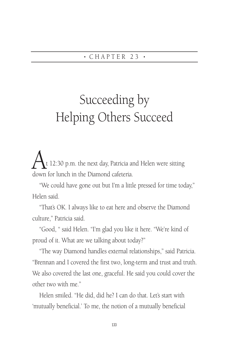### Succeeding by Helping Others Succeed

12:30 p.m. the next day, Patricia and Helen were sitting  $\bigwedge$ t 12:30 p.m. the next day, Patricia ardown for lunch in the Diamond cafeteria.

"We could have gone out but I'm a little pressed for time today," Helen said.

"That's OK. I always like to eat here and observe the Diamond culture," Patricia said.

"Good, " said Helen. "I'm glad you like it here. "We're kind of proud of it. What are we talking about today?"

"The way Diamond handles external relationships," said Patricia. "Brennan and I covered the first two, long-term and trust and truth. We also covered the last one, graceful. He said you could cover the other two with me."

Helen smiled. "He did, did he? I can do that. Let's start with 'mutually beneficial.' To me, the notion of a mutually beneficial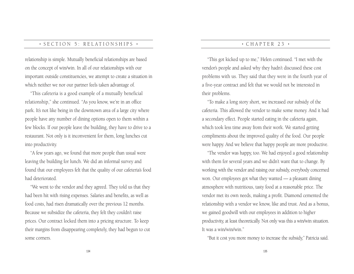relationship is simple. Mutually beneficial relationships are based on the concept of win/win. In all of our relationships with our important outside constituencies, we attempt to create a situation in which neither we nor our partner feels taken advantage of.

"This cafeteria is a good example of a mutually beneficial relationship," she continued. "As you know, we're in an office park. It's not like being in the downtown area of a large city where people have any number of dining options open to them within a few blocks. If our people leave the building, they have to drive to a restaurant. Not only is it inconvenient for them, long lunches cut into productivity.

"A few years ago, we found that more people than usual were leaving the building for lunch. We did an informal survey and found that our employees felt that the quality of our cafeteria's food had deteriorated.

"We went to the vendor and they agreed. They told us that they had been hit with rising expenses. Salaries and benefits, as well as food costs, had risen dramatically over the previous 12 months. Because we subsidize the cafeteria, they felt they couldn't raise prices. Our contract locked them into a pricing structure. To keep their margins from disappearing completely, they had begun to cut some corners.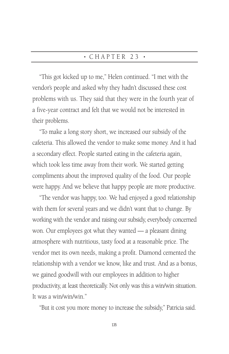"This got kicked up to me," Helen continued. "I met with the vendor's people and asked why they hadn't discussed these cost problems with us. They said that they were in the fourth year of a five-year contract and felt that we would not be interested in their problems.

"To make a long story short, we increased our subsidy of the cafeteria. This allowed the vendor to make some money. And it had a secondary effect. People started eating in the cafeteria again, which took less time away from their work. We started getting compliments about the improved quality of the food. Our people were happy. And we believe that happy people are more productive.

"The vendor was happy, too. We had enjoyed a good relationship with them for several years and we didn't want that to change. By working with the vendor and raising our subsidy, everybody concerned won. Our employees got what they wanted — a pleasant dining atmosphere with nutritious, tasty food at a reasonable price. The vendor met its own needs, making a profit. Diamond cemented the relationship with a vendor we know, like and trust. And as a bonus, we gained goodwill with our employees in addition to higher productivity, at least theoretically. Not only was this a win/win situation. It was a win/win/win."

"But it cost you more money to increase the subsidy," Patricia said.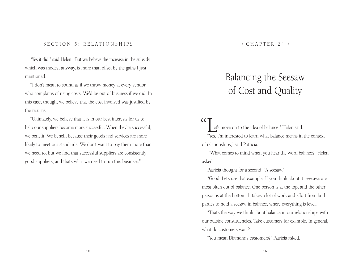"Yes it did," said Helen. "But we believe the increase in the subsidy, which was modest anyway, is more than offset by the gains I just mentioned.

"I don't mean to sound as if we throw money at every vendor who complains of rising costs. We'd be out of business if we did. In this case, though, we believe that the cost involved was justified by the returns.

"Ultimately, we believe that it is in our best interests for us to help our suppliers become more successful. When they're successful, we benefit. We benefit because their goods and services are more likely to meet our standards. We don't want to pay them more than we need to, but we find that successful suppliers are consistently good suppliers, and that's what we need to run this business."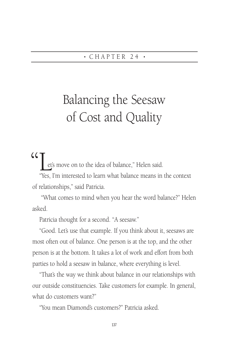## Balancing the Seesaw of Cost and Quality

et's move on to the idea of balance," Helen said. "Yes, I'm interested to learn what balance means in the context of relationships," said Patricia.  $\begin{array}{c} \begin{array}{c} \text{C} \\ \text{C} \end{array} \\ \begin{array}{c} \text{C} \\ \text{C} \end{array} \end{array}$ 

"What comes to mind when you hear the word balance?" Helen asked.

Patricia thought for a second. "A seesaw."

"Good. Let's use that example. If you think about it, seesaws are most often out of balance. One person is at the top, and the other person is at the bottom. It takes a lot of work and effort from both parties to hold a seesaw in balance, where everything is level.

"That's the way we think about balance in our relationships with our outside constituencies. Take customers for example. In general, what do customers want?"

"You mean Diamond's customers?" Patricia asked.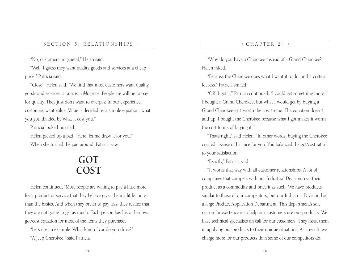"No, customers in general," Helen said.

"Well, I guess they want quality goods and services at a cheap price," Patricia said.

"Close," Helen said. "We find that most customers want quality goods and services, at a *reasonable* price. People are willing to pay for quality. They just don't want to overpay. In our experience, customers want value. Value is decided by a simple equation: what you got, divided by what it cost you."

Patricia looked puzzled.

Helen picked up a pad. "Here, let me draw it for you." When she turned the pad around, Patricia saw:

### **GOT COST**

Helen continued, "Most people are willing to pay a little more for a product or service that they believe gives them a little more than the basics. And when they prefer to pay less, they realize that they are not going to get as much. Each person has his or her own got/cost equation for most of the items they purchase.

"Let's use an example. What kind of car do you drive?"

"A Jeep Cherokee," said Patricia.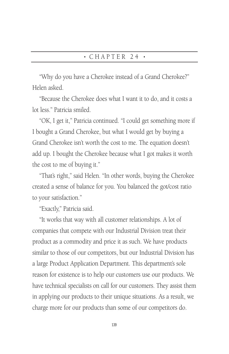"Why do you have a Cherokee instead of a Grand Cherokee?" Helen asked.

"Because the Cherokee does what I want it to do, and it costs a lot less." Patricia smiled.

"OK, I get it," Patricia continued. "I could get something more if I bought a Grand Cherokee, but what I would get by buying a Grand Cherokee isn't worth the cost to me. The equation doesn't add up. I bought the Cherokee because what I got makes it worth the cost to me of buying it."

"That's right," said Helen. "In other words, buying the Cherokee created a sense of balance for you. You balanced the got/cost ratio to your satisfaction."

"Exactly," Patricia said.

"It works that way with all customer relationships. A lot of companies that compete with our Industrial Division treat their product as a commodity and price it as such. We have products similar to those of our competitors, but our Industrial Division has a large Product Application Department. This department's sole reason for existence is to help our customers use our products. We have technical specialists on call for our customers. They assist them in applying our products to their unique situations. As a result, we charge more for our products than some of our competitors do.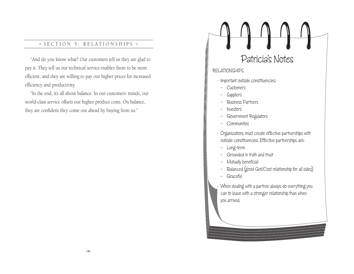"And do you know what? Our customers tell us they are glad to pay it. They tell us our technical service enables them to be more efficient, and they are willing to pay our higher prices for increased efficiency and productivity.

"In the end, it's all about balance. In our customers' minds, our world-class service offsets our higher product costs. On balance, they are confident they come out ahead by buying from us."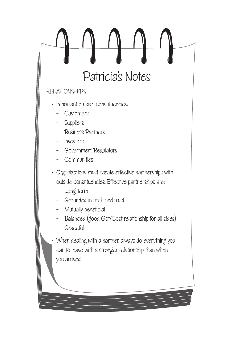### Patricia's Notes RELATIONSHIPS • Important outside constituencies: Customers - Suppliers - Business Partners - Investors - Government Regulators - Communities • Organizations must create effective partnerships with outside constituencies. Effective partnerships are: Long-term Grounded in truth and trust - Mutually beneficial Balanced (good Got/Cost relationship for all sides) Graceful • When dealing with a partner, always do everything you can to leave with a stronger relationship than when you arrived.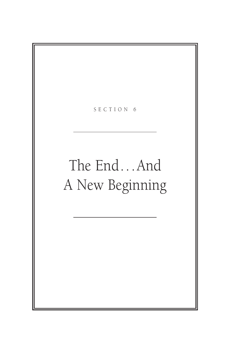

# The End...And A New Beginning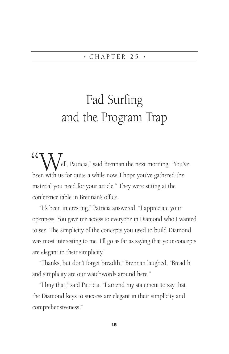# Fad Surfing and the Program Trap

ell, Patricia," said Brennan the next morning. "You've **CONT** ell, Patricia," said Brennan the next morning. "You" been with us for quite a while now. I hope you've gathered the material you need for your article." They were sitting at the conference table in Brennan's office.

"It's been interesting," Patricia answered. "I appreciate your openness. You gave me access to everyone in Diamond who I wanted to see. The simplicity of the concepts you used to build Diamond was most interesting to me. I'll go as far as saying that your concepts are elegant in their simplicity."

"Thanks, but don't forget breadth," Brennan laughed. "Breadth and simplicity are our watchwords around here."

"I buy that," said Patricia. "I amend my statement to say that the Diamond keys to success are elegant in their simplicity and comprehensiveness."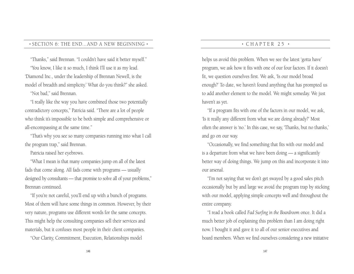"Thanks," said Brennan. "I couldn't have said it better myself."

"You know, I like it so much, I think I'll use it as my lead. 'Diamond Inc., under the leadership of Brennan Newell, is the model of breadth and simplicity.' What do you think?" she asked.

"Not bad," said Brennan.

"I really like the way you have combined those two potentially contradictory concepts," Patricia said. "There are a lot of people who think it's impossible to be both simple and comprehensive or all-encompassing at the same time."

"That's why you see so many companies running into what I call the program trap," said Brennan.

Patricia raised her eyebrows.

"What I mean is that many companies jump on all of the latest fads that come along. All fads come with programs — usually designed by consultants — that promise to solve all of your problems," Brennan continued.

"If you're not careful, you'll end up with a bunch of programs. Most of them will have some things in common. However, by their very nature, programs use different words for the same concepts. This might help the consulting companies sell their services and materials, but it confuses most people in their client companies.

"Our Clarity, Commitment, Execution, Relationships model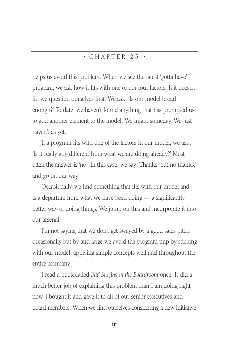helps us avoid this problem. When we see the latest 'gotta have' program, we ask how it fits with one of our four factors. If it doesn't fit, we question ourselves first. We ask, 'Is our model broad enough?' To date, we haven't found anything that has prompted us to add another element to the model. We might someday. We just haven't as yet.

"If a program fits with one of the factors in our model, we ask, 'Is it really any different from what we are doing already?' Most often the answer is 'no.' In this case, we say, 'Thanks, but no thanks,' and go on our way.

"Occasionally, we find something that fits with our model and is a departure from what we have been doing — a significantly better way of doing things. We jump on this and incorporate it into our arsenal.

"I'm not saying that we don't get swayed by a good sales pitch occasionally but by and large we avoid the program trap by sticking with our model, applying simple concepts well and throughout the entire company.

"I read a book called *Fad Surfing in the Boardroom* once. It did a much better job of explaining this problem than I am doing right now. I bought it and gave it to all of our senior executives and board members. When we find ourselves considering a new initiative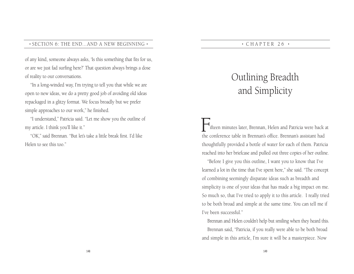#### • SECTION 6: THE END...AND A NEW BEGINNING •

of any kind, someone always asks, 'Is this something that fits for us, or are we just fad surfing here?' That question always brings a dose of reality to our conversations.

"In a long-winded way, I'm trying to tell you that while we are open to new ideas, we do a pretty good job of avoiding old ideas repackaged in a glitzy format. We focus broadly but we prefer simple approaches to our work," he finished.

"I understand," Patricia said. "Let me show you the outline of my article. I think you'll like it."

"OK," said Brennan. "But let's take a little break first. I'd like Helen to see this too."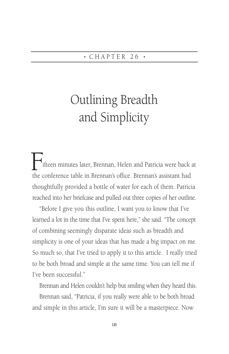# Outlining Breadth and Simplicity

ifteen minutes later, Brennan, Helen and Patricia were back at the conference table in Brennan's office. Brennan's assistant had thoughtfully provided a bottle of water for each of them. Patricia reached into her briefcase and pulled out three copies of her outline.  $F_{\text{ifte}}$ 

"Before I give you this outline, I want you to know that I've learned a lot in the time that I've spent here," she said. "The concept of combining seemingly disparate ideas such as breadth and simplicity is one of your ideas that has made a big impact on me. So much so, that I've tried to apply it to this article. I really tried to be both broad and simple at the same time. You can tell me if I've been successful."

Brennan and Helen couldn't help but smiling when they heard this.

Brennan said, "Patricia, if you really were able to be both broad and simple in this article, I'm sure it will be a masterpiece. Now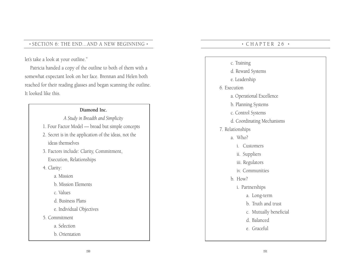let's take a look at your outline."

Patricia handed a copy of the outline to both of them with a somewhat expectant look on her face. Brennan and Helen both reached for their reading glasses and began scanning the outline. It looked like this.

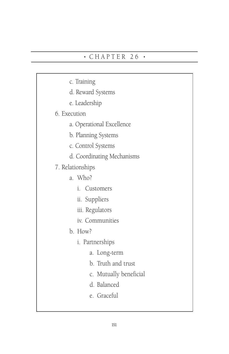#### $\cdot$  CHAPTER 26  $\cdot$

- c. Training
- d. Reward Systems
- e. Leadership
- 6. Execution
	- a. Operational Excellence
	- b. Planning Systems
	- c. Control Systems
	- d. Coordinating Mechanisms
- 7. Relationships
	- a. Who?
		- i. Customers
		- ii. Suppliers
		- iii. Regulators
		- iv. Communities
	- b. How?
		- i. Partnerships
			- a. Long-term
			- b. Truth and trust
			- c. Mutually beneficial
			- d. Balanced
			- e. Graceful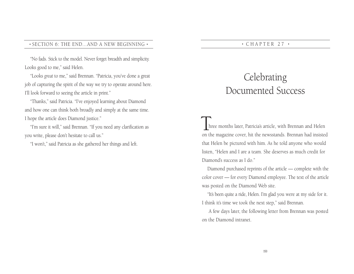"No fads. Stick to the model. Never forget breadth and simplicity. Looks good to me," said Helen.

"Looks *great* to me," said Brennan. "Patricia, you've done a great job of capturing the spirit of the way we try to operate around here. I'll look forward to seeing the article in print."

"Thanks," said Patricia. "I've enjoyed learning about Diamond and how one can think both broadly and simply at the same time. I hope the article does Diamond justice."

"I'm sure it will," said Brennan. "If you need any clarification as you write, please don't hesitate to call us."

"I won't," said Patricia as she gathered her things and left.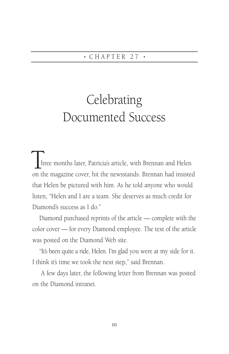## **Celebrating** Documented Success

hree months later, Patricia's article, with Brennan and Helen on the magazine cover, hit the newsstands. Brennan had insisted that Helen be pictured with him. As he told anyone who would listen, "Helen and I are a team. She deserves as much credit for Diamond's success as I do."  $\prod_{\text{three}}$ 

Diamond purchased reprints of the article — complete with the color cover — for every Diamond employee. The text of the article was posted on the Diamond Web site.

"It's been quite a ride, Helen. I'm glad you were at my side for it. I think it's time we took the next step," said Brennan.

A few days later, the following letter from Brennan was posted on the Diamond intranet.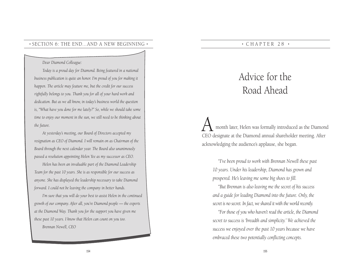#### • SECTION 6: THE END...AND A NEW BEGINNING •

#### *Dear Diamond Colleague:*

*Today is a proud day for Diamond. Being featured in a national business publication is quite an honor. I'm proud of you for making it happen. The article may feature me, but the credit for our success rightfully belongs to you. Thank you for all of your hard work and dedication. But as we all know, in today's business world the question is, "What have you done for me lately?" So, while we should take some time to enjoy our moment in the sun, we still need to be thinking about the future.*

*At yesterday's meeting, our Board of Directors accepted my resignation as CEO of Diamond. I will remain on as Chairman of the Board through the next calendar year. The Board also unanimously passed a resolution appointing Helen Yee as my successor as CEO.*

*Helen has been an invaluable part of the Diamond Leadership Team for the past 10 years. She is as responsible for our success as anyone. She has displayed the leadership necessary to take Diamond forward. I could not be leaving the company in better hands.*

*I'm sure that you will do your best to assist Helen in the continued growth of our company. After all, you're Diamond people — the experts at the Diamond Way. Thank you for the support you have given me these past 10 years. I know that Helen can count on you too.*

*Brennan Newell, CEO*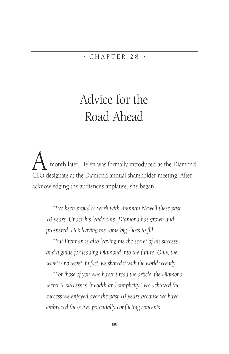# Advice for the Road Ahead

month later, Helen was formally introduced as the Diamond A month later, Helen was formally introduced as the Diamon<br>CEO designate at the Diamond annual shareholder meeting. After acknowledging the audience's applause, she began.

*"I've been proud to work with Brennan Newell these past 10 years. Under his leadership, Diamond has grown and prospered. He's leaving me some big shoes to fill.*

*"But Brennan is also leaving me the secret of his success and a guide for leading Diamond into the future. Only, the secret is no secret. In fact, we shared it with the world recently.* 

*"For those of you who haven't read the article, the Diamond secret to success is 'breadth and simplicity.' We achieved the success we enjoyed over the past 10 years because we have embraced these two potentially conflicting concepts.*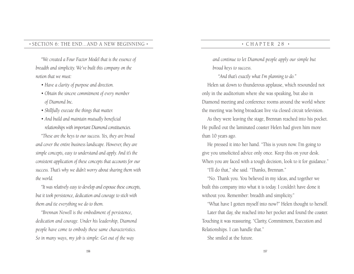*"We created a Four Factor Model that is the essence of breadth and simplicity. We've built this company on the notion that we must:*

- *Have a clarity of purpose and direction.*
- *Obtain the sincere commitment of every member of Diamond Inc.*
- *Skillfully execute the things that matter.*
- *And build and maintain mutually beneficial relationships with important Diamond constituencies.*

*"These are the keys to our success. Yes, they are broad and cover the entire business landscape. However, they are simple concepts, easy to understand and apply. And it's the consistent application of these concepts that accounts for our success. That's why we didn't worry about sharing them with the world.* 

*"It was relatively easy to develop and espouse these concepts, but it took persistence, dedication and courage to stick with them and tie everything we do to them.* 

*"Brennan Newell is the embodiment of persistence, dedication and courage. Under his leadership, Diamond people have come to embody these same characteristics. So in many ways, my job is simple: Get out of the way*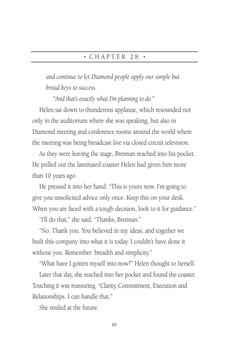*and continue to let Diamond people apply our simple but broad keys to success.*

*"And that's exactly what I'm planning to do."* Helen sat down to thunderous applause, which resounded not only in the auditorium where she was speaking, but also in Diamond meeting and conference rooms around the world where the meeting was being broadcast live via closed circuit television.

As they were leaving the stage, Brennan reached into his pocket. He pulled out the laminated coaster Helen had given him more than 10 years ago.

He pressed it into her hand. "This is yours now. I'm going to give you unsolicited advice only once. Keep this on your desk. When you are faced with a tough decision, look to it for guidance."

"I'll do that," she said. "Thanks, Brennan."

"No. Thank you. You believed in my ideas, and together we built this company into what it is today. I couldn't have done it without you. Remember: breadth and simplicity."

"What have I gotten myself into now?" Helen thought to herself.

Later that day, she reached into her pocket and found the coaster. Touching it was reassuring. "Clarity, Commitment, Execution and Relationships. I can handle that."

She smiled at the future.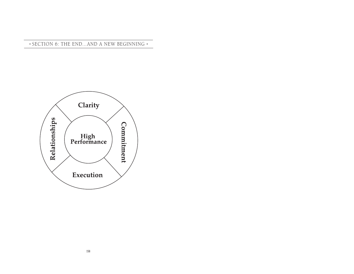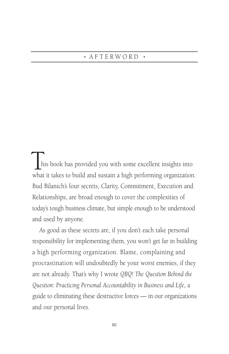his book has provided you with some excellent insights into what it takes to build and sustain a high performing organization. Bud Bilanich's four secrets, Clarity, Commitment, Execution and Relationships, are broad enough to cover the complexities of today's tough business climate, but simple enough to be understood and used by anyone.  $\prod_{\text{hist it}}$ 

As good as these secrets are, if you don't each take personal responsibility for implementing them, you won't get far in building a high performing organization. Blame, complaining and procrastination will undoubtedly be your worst enemies, if they are not already. That's why I wrote *QBQ! The Question Behind the Question: Practicing Personal Accountability in Business and Life,* a guide to eliminating these destructive forces — in our organizations and our personal lives.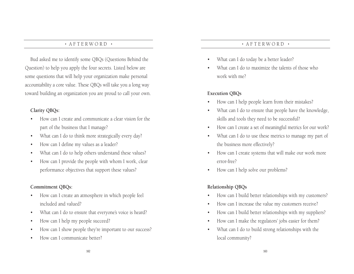Bud asked me to identify some QBQs (Questions Behind the Question) to help you apply the four secrets. Listed below are some questions that will help your organization make personal accountability a core value. These QBQs will take you a long way toward building an organization you are proud to call your own.

### **Clarity QBQs:**

- How can I create and communicate a clear vision for the part of the business that I manage?
- What can I do to think more strategically every day?
- How can I define my values as a leader?
- What can I do to help others understand these values?
- How can I provide the people with whom I work, clear performance objectives that support these values?

### **Commitment QBQs:**

- How can I create an atmosphere in which people feel included and valued?
- What can I do to ensure that everyone's voice is heard?
- How can I help my people succeed?
- How can I show people they're important to our success?
- How can I communicate better?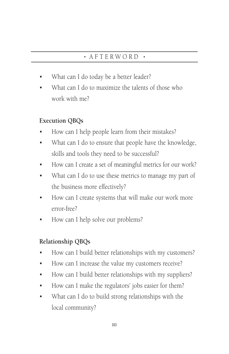#### $\cdot$  AFTERWORD  $\cdot$

- What can I do today be a better leader?
- What can I do to maximize the talents of those who work with me?

### **Execution QBQs**

- How can I help people learn from their mistakes?
- What can I do to ensure that people have the knowledge, skills and tools they need to be successful?
- How can I create a set of meaningful metrics for our work?
- What can I do to use these metrics to manage my part of the business more effectively?
- How can I create systems that will make our work more error-free?
- How can I help solve our problems?

### **Relationship QBQs**

- How can I build better relationships with my customers?
- How can I increase the value my customers receive?
- How can I build better relationships with my suppliers?
- How can I make the regulators' jobs easier for them?
- What can I do to build strong relationships with the local community?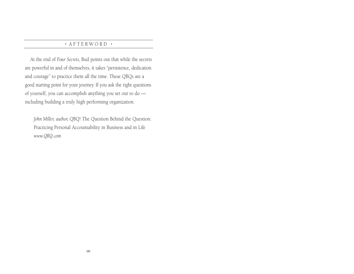At the end of *Four Secrets,* Bud points out that while the secrets are powerful in and of themselves, it takes "persistence, dedication and courage" to practice them all the time. These QBQs are a good starting point for your journey. If you ask the right questions of yourself, you can accomplish anything you set out to do including building a truly high performing organization.

*John Miller, author,* QBQ! The Question Behind the Question: Practicing Personal Accountability in Business and in Life *www.QBQ.com*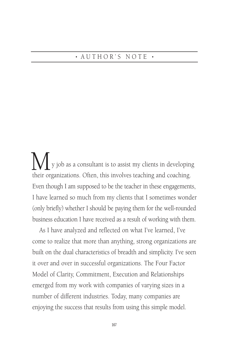y job as a consultant is to assist my clients in developing **M** y job as a consultant is to assist my clients in developin<br>their organizations. Often, this involves teaching and coaching. Even though I am supposed to be the teacher in these engagements, I have learned so much from my clients that I sometimes wonder (only briefly) whether I should be paying them for the well-rounded business education I have received as a result of working with them.

As I have analyzed and reflected on what I've learned, I've come to realize that more than anything, strong organizations are built on the dual characteristics of breadth and simplicity. I've seen it over and over in successful organizations. The Four Factor Model of Clarity, Commitment, Execution and Relationships emerged from my work with companies of varying sizes in a number of different industries. Today, many companies are enjoying the success that results from using this simple model.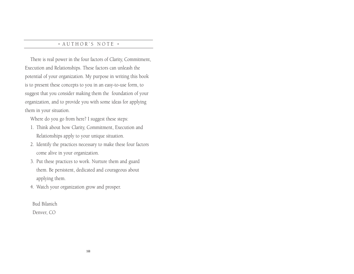#### • AUTHOR'S NOTE •

There is real power in the four factors of Clarity, Commitment, Execution and Relationships. These factors can unleash the potential of your organization. My purpose in writing this book is to present these concepts to you in an easy-to-use form, to suggest that you consider making them the foundation of your organization, and to provide you with some ideas for applying them in your situation.

Where do you go from here? I suggest these steps:

- 1. Think about how Clarity, Commitment, Execution and Relationships apply to your unique situation.
- 2. Identify the practices necessary to make these four factors come alive in your organization.
- 3. Put these practices to work. Nurture them and guard them. Be persistent, dedicated and courageous about applying them.
- 4. Watch your organization grow and prosper.

Bud Bilanich Denver, CO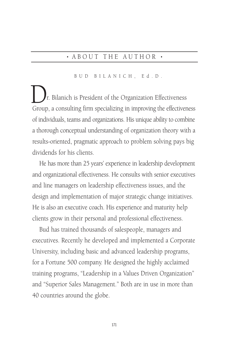#### • ABOUT THE AUTHOR •

BUD BILANICH, Ed.D.

r. Bilanich is President of the Organization Effectiveness In Bilanich is President of the Organization Effectiveness<br>Group, a consulting firm specializing in improving the effectiveness of individuals, teams and organizations. His unique ability to combine a thorough conceptual understanding of organization theory with a results-oriented, pragmatic approach to problem solving pays big dividends for his clients.

He has more than 25 years' experience in leadership development and organizational effectiveness. He consults with senior executives and line managers on leadership effectiveness issues, and the design and implementation of major strategic change initiatives. He is also an executive coach. His experience and maturity help clients grow in their personal and professional effectiveness.

Bud has trained thousands of salespeople, managers and executives. Recently he developed and implemented a Corporate University, including basic and advanced leadership programs, for a Fortune 500 company. He designed the highly acclaimed training programs, "Leadership in a Values Driven Organization" and "Superior Sales Management." Both are in use in more than 40 countries around the globe.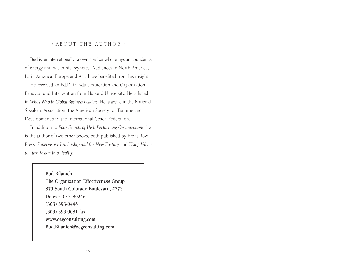#### • ABOUT THE AUTHOR •

Bud is an internationally known speaker who brings an abundance of energy and wit to his keynotes. Audiences in North America, Latin America, Europe and Asia have benefited from his insight.

He received an Ed.D. in Adult Education and Organization Behavior and Intervention from Harvard University. He is listed in *Who's Who in Global Business Leaders.* He is active in the National Speakers Association, the American Society for Training and Development and the International Coach Federation.

In addition to *Four Secrets of High Performing Organizations,* he is the author of two other books, both published by Front Row Press: *Supervisory Leadership and the New Factory* and *Using Values to Turn Vision into Reality.*

> **Bud Bilanich The Organization Effectiveness Group 875 South Colorado Boulevard, #773 Denver, CO 80246 (303) 393-0446 (303) 393-0081 fax www.oegconsulting.com Bud.Bilanich@oegconsulting.com**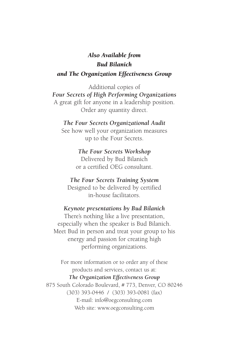### *Also Available from Bud Bilanich and The Organization Effectiveness Group*

Additional copies of *Four Secrets of High Performing Organizations* A great gift for anyone in a leadership position. Order any quantity direct.

## *The Four Secrets Organizational Audit*

See how well your organization measures up to the Four Secrets.

> *The Four Secrets Workshop* Delivered by Bud Bilanich or a certified OEG consultant.

#### *The Four Secrets Training System*

Designed to be delivered by certified in-house facilitators.

#### *Keynote presentations by Bud Bilanich*

There's nothing like a live presentation, especially when the speaker is Bud Bilanich. Meet Bud in person and treat your group to his energy and passion for creating high performing organizations.

For more information or to order any of these products and services, contact us at: *The Organization Effectiveness Group* 875 South Colorado Boulevard, # 773, Denver, CO 80246 (303) 393-0446 / (303) 393-0081 (fax) E-mail: info@oegconsulting.com Web site: www.oegconsulting.com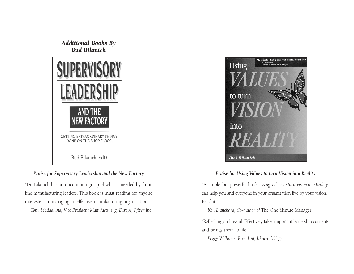## *Additional Books By Bud Bilanich*



## *Praise for Supervisory Leadership and the New Factory*

"Dr. Bilanich has an uncommon grasp of what is needed by front line manufacturing leaders. This book is must reading for anyone interested in managing an effective manufacturing organization."

*Tony Maddaluna, Vice President Manufacturing, Europe, Pfizer Inc*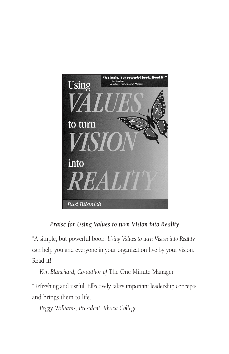

### *Praise for Using Values to turn Vision into Reality*

"A simple, but powerful book. *Using Values to turn Vision into Reality* can help you and everyone in your organization live by your vision. Read it!"

*Ken Blanchard, Co-author of* The One Minute Manager

"Refreshing and useful. Effectively takes important leadership concepts and brings them to life."

*Peggy Williams, President, Ithaca College*